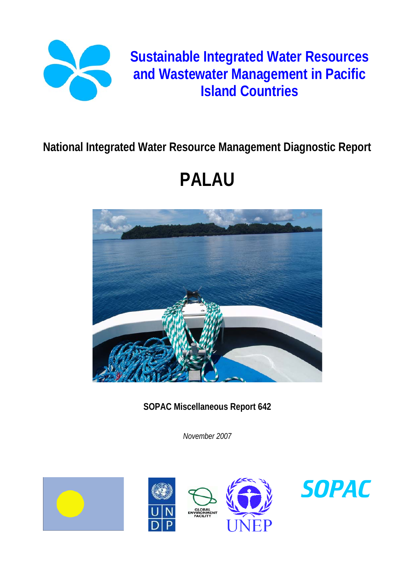

# **Sustainable Integrated Water Resources and Wastewater Management in Pacific Island Countries**

# **National Integrated Water Resource Management Diagnostic Report**

# **PALAU**



**SOPAC Miscellaneous Report 642** 

*November 2007* 







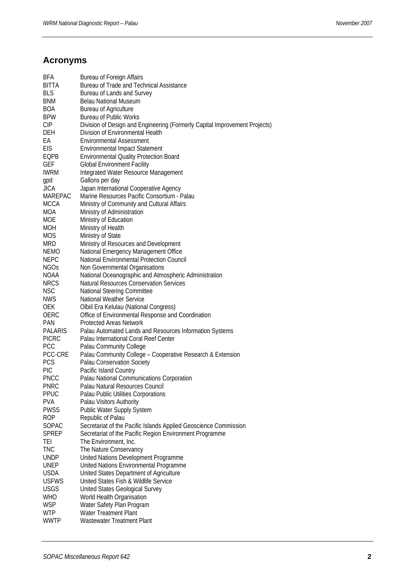# **Acronyms**

| BFA            | <b>Bureau of Foreign Affairs</b>                                                                 |
|----------------|--------------------------------------------------------------------------------------------------|
| BITTA          | Bureau of Trade and Technical Assistance                                                         |
| <b>BLS</b>     | Bureau of Lands and Survey                                                                       |
| <b>BNM</b>     | <b>Belau National Museum</b>                                                                     |
| <b>BOA</b>     | <b>Bureau of Agriculture</b>                                                                     |
| <b>BPW</b>     | Bureau of Public Works                                                                           |
| CIP            | Division of Design and Engineering (Formerly Capital Improvement Projects)                       |
| DEH            | Division of Environmental Health                                                                 |
| EА             | <b>Environmental Assessment</b>                                                                  |
| <b>EIS</b>     | <b>Environmental Impact Statement</b>                                                            |
| EQPB           | <b>Environmental Quality Protection Board</b>                                                    |
| GEF            | <b>Global Environment Facility</b>                                                               |
| <b>IWRM</b>    | Integrated Water Resource Management                                                             |
| gpd            | Gallons per day                                                                                  |
| <b>JICA</b>    | Japan International Cooperative Agency                                                           |
| MAREPAC        | Marine Resources Pacific Consortium - Palau                                                      |
| <b>MCCA</b>    | Ministry of Community and Cultural Affairs                                                       |
| <b>MOA</b>     | Ministry of Administration                                                                       |
| <b>MOE</b>     | Ministry of Education                                                                            |
| <b>MOH</b>     | Ministry of Health                                                                               |
| <b>MOS</b>     | Ministry of State                                                                                |
| MRD            | Ministry of Resources and Development                                                            |
| <b>NEMO</b>    | National Emergency Management Office                                                             |
| <b>NEPC</b>    | National Environmental Protection Council                                                        |
| <b>NGOs</b>    | Non Governmental Organisations                                                                   |
| NOAA           | National Oceanographic and Atmospheric Administration                                            |
| <b>NRCS</b>    | <b>Natural Resources Conservation Services</b>                                                   |
| <b>NSC</b>     | <b>National Steering Committee</b>                                                               |
| <b>NWS</b>     | <b>National Weather Service</b>                                                                  |
| <b>OEK</b>     | Olbiil Era Kelulau (National Congress)                                                           |
| OERC           | Office of Environmental Response and Coordination                                                |
|                | <b>Protected Areas Network</b>                                                                   |
| <b>PAN</b>     |                                                                                                  |
| <b>PALARIS</b> | Palau Automated Lands and Resources Information Systems<br>Palau International Coral Reef Center |
| <b>PICRC</b>   |                                                                                                  |
| <b>PCC</b>     | Palau Community College                                                                          |
| PCC-CRE        | Palau Community College - Cooperative Research & Extension                                       |
| <b>PCS</b>     | Palau Conservation Society                                                                       |
| <b>PIC</b>     | Pacific Island Country                                                                           |
| <b>PNCC</b>    | Palau National Communications Corporation                                                        |
| <b>PNRC</b>    | Palau Natural Resources Council                                                                  |
| <b>PPUC</b>    | Palau Public Utilities Corporations                                                              |
| <b>PVA</b>     | Palau Visitors Authority                                                                         |
| <b>PWSS</b>    | <b>Public Water Supply System</b>                                                                |
| <b>ROP</b>     | Republic of Palau                                                                                |
| <b>SOPAC</b>   | Secretariat of the Pacific Islands Applied Geoscience Commission                                 |
| <b>SPREP</b>   | Secretariat of the Pacific Region Environment Programme                                          |
| TEI            | The Environment, Inc.                                                                            |
| <b>TNC</b>     | The Nature Conservancy                                                                           |
| <b>UNDP</b>    | United Nations Development Programme                                                             |
| <b>UNEP</b>    | United Nations Environmental Programme                                                           |
| <b>USDA</b>    | United States Department of Agriculture                                                          |
| <b>USFWS</b>   | United States Fish & Wildlife Service                                                            |
| <b>USGS</b>    | United States Geological Survey                                                                  |
| <b>WHO</b>     | World Health Organisation                                                                        |
| <b>WSP</b>     | Water Safety Plan Program                                                                        |
| <b>WTP</b>     | Water Treatment Plant                                                                            |
| <b>WWTP</b>    | Wastewater Treatment Plant                                                                       |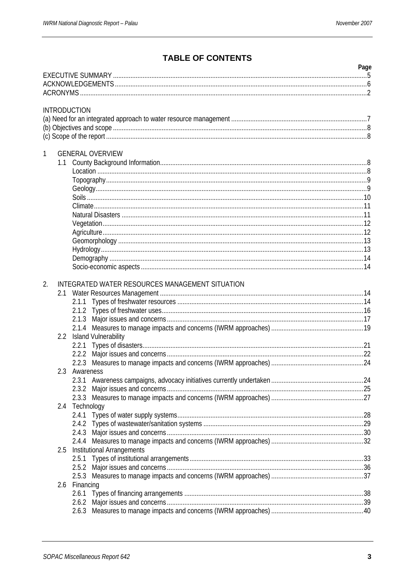# **TABLE OF CONTENTS**

|     |                                                 | Page |
|-----|-------------------------------------------------|------|
|     |                                                 |      |
|     |                                                 |      |
|     |                                                 |      |
|     | <b>INTRODUCTION</b>                             |      |
|     |                                                 |      |
|     |                                                 |      |
|     |                                                 |      |
|     |                                                 |      |
| 1   | <b>GENERAL OVERVIEW</b>                         |      |
| 1.1 |                                                 |      |
|     |                                                 |      |
|     |                                                 |      |
|     |                                                 |      |
|     |                                                 |      |
|     |                                                 |      |
|     |                                                 |      |
|     |                                                 |      |
|     |                                                 |      |
|     |                                                 |      |
|     |                                                 |      |
|     |                                                 |      |
|     |                                                 |      |
| 2.  | INTEGRATED WATER RESOURCES MANAGEMENT SITUATION |      |
|     |                                                 |      |
|     | 2.1.1                                           |      |
|     |                                                 |      |
|     |                                                 |      |
|     |                                                 |      |
| 2.2 | <b>Island Vulnerability</b>                     |      |
|     |                                                 |      |
|     |                                                 |      |
|     |                                                 |      |
| 2.3 | Awareness                                       |      |
|     | 2.3.1                                           |      |
|     |                                                 |      |
|     |                                                 |      |
|     | 2.4 Technology                                  |      |
|     |                                                 |      |
|     |                                                 |      |
|     |                                                 |      |
|     |                                                 |      |
| 2.5 | <b>Institutional Arrangements</b>               |      |
|     | 2.5.1                                           |      |
|     |                                                 |      |
|     |                                                 |      |
| 2.6 | Financing                                       |      |
|     | 2.6.1                                           |      |
|     |                                                 |      |
|     |                                                 |      |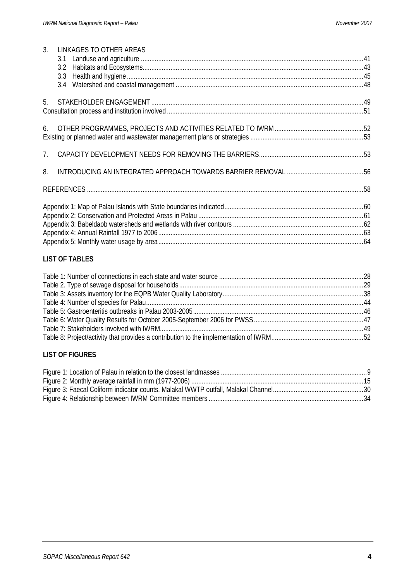| 3. | LINKAGES TO OTHER AREAS |  |
|----|-------------------------|--|
|    |                         |  |
|    |                         |  |
|    |                         |  |
|    |                         |  |
| 5. |                         |  |
|    |                         |  |
| 6. |                         |  |
|    |                         |  |
|    |                         |  |
| 8. |                         |  |
|    |                         |  |
|    |                         |  |
|    |                         |  |
|    |                         |  |
|    |                         |  |
|    |                         |  |

#### **LIST OF TABLES**

#### **LIST OF FIGURES**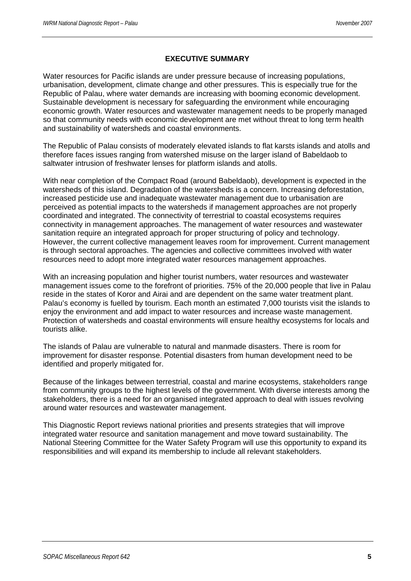#### **EXECUTIVE SUMMARY**

Water resources for Pacific islands are under pressure because of increasing populations, urbanisation, development, climate change and other pressures. This is especially true for the Republic of Palau, where water demands are increasing with booming economic development. Sustainable development is necessary for safeguarding the environment while encouraging economic growth. Water resources and wastewater management needs to be properly managed so that community needs with economic development are met without threat to long term health and sustainability of watersheds and coastal environments.

The Republic of Palau consists of moderately elevated islands to flat karsts islands and atolls and therefore faces issues ranging from watershed misuse on the larger island of Babeldaob to saltwater intrusion of freshwater lenses for platform islands and atolls.

With near completion of the Compact Road (around Babeldaob), development is expected in the watersheds of this island. Degradation of the watersheds is a concern. Increasing deforestation, increased pesticide use and inadequate wastewater management due to urbanisation are perceived as potential impacts to the watersheds if management approaches are not properly coordinated and integrated. The connectivity of terrestrial to coastal ecosystems requires connectivity in management approaches. The management of water resources and wastewater sanitation require an integrated approach for proper structuring of policy and technology. However, the current collective management leaves room for improvement. Current management is through sectoral approaches. The agencies and collective committees involved with water resources need to adopt more integrated water resources management approaches.

With an increasing population and higher tourist numbers, water resources and wastewater management issues come to the forefront of priorities. 75% of the 20,000 people that live in Palau reside in the states of Koror and Airai and are dependent on the same water treatment plant. Palau's economy is fuelled by tourism. Each month an estimated 7,000 tourists visit the islands to enjoy the environment and add impact to water resources and increase waste management. Protection of watersheds and coastal environments will ensure healthy ecosystems for locals and tourists alike.

The islands of Palau are vulnerable to natural and manmade disasters. There is room for improvement for disaster response. Potential disasters from human development need to be identified and properly mitigated for.

Because of the linkages between terrestrial, coastal and marine ecosystems, stakeholders range from community groups to the highest levels of the government. With diverse interests among the stakeholders, there is a need for an organised integrated approach to deal with issues revolving around water resources and wastewater management.

This Diagnostic Report reviews national priorities and presents strategies that will improve integrated water resource and sanitation management and move toward sustainability. The National Steering Committee for the Water Safety Program will use this opportunity to expand its responsibilities and will expand its membership to include all relevant stakeholders.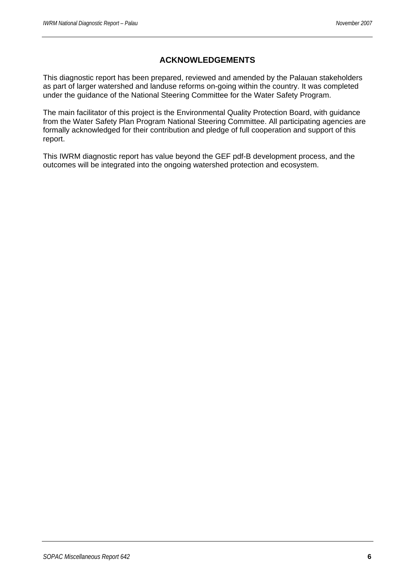# **ACKNOWLEDGEMENTS**

This diagnostic report has been prepared, reviewed and amended by the Palauan stakeholders as part of larger watershed and landuse reforms on-going within the country. It was completed under the guidance of the National Steering Committee for the Water Safety Program.

The main facilitator of this project is the Environmental Quality Protection Board, with guidance from the Water Safety Plan Program National Steering Committee. All participating agencies are formally acknowledged for their contribution and pledge of full cooperation and support of this report.

This IWRM diagnostic report has value beyond the GEF pdf-B development process, and the outcomes will be integrated into the ongoing watershed protection and ecosystem.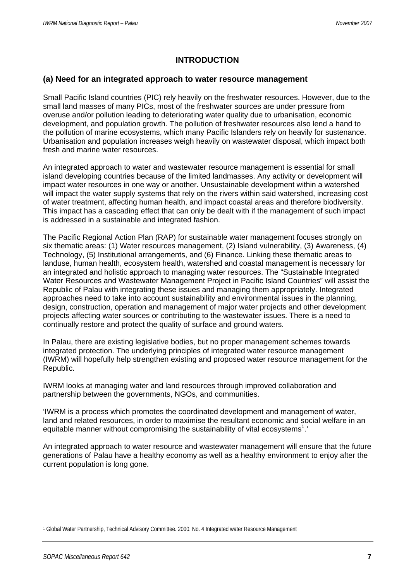# **INTRODUCTION**

#### **(a) Need for an integrated approach to water resource management**

Small Pacific Island countries (PIC) rely heavily on the freshwater resources. However, due to the small land masses of many PICs, most of the freshwater sources are under pressure from overuse and/or pollution leading to deteriorating water quality due to urbanisation, economic development, and population growth. The pollution of freshwater resources also lend a hand to the pollution of marine ecosystems, which many Pacific Islanders rely on heavily for sustenance. Urbanisation and population increases weigh heavily on wastewater disposal, which impact both fresh and marine water resources.

An integrated approach to water and wastewater resource management is essential for small island developing countries because of the limited landmasses. Any activity or development will impact water resources in one way or another. Unsustainable development within a watershed will impact the water supply systems that rely on the rivers within said watershed, increasing cost of water treatment, affecting human health, and impact coastal areas and therefore biodiversity. This impact has a cascading effect that can only be dealt with if the management of such impact is addressed in a sustainable and integrated fashion.

The Pacific Regional Action Plan (RAP) for sustainable water management focuses strongly on six thematic areas: (1) Water resources management, (2) Island vulnerability, (3) Awareness, (4) Technology, (5) Institutional arrangements, and (6) Finance. Linking these thematic areas to landuse, human health, ecosystem health, watershed and coastal management is necessary for an integrated and holistic approach to managing water resources. The "Sustainable Integrated Water Resources and Wastewater Management Project in Pacific Island Countries" will assist the Republic of Palau with integrating these issues and managing them appropriately. Integrated approaches need to take into account sustainability and environmental issues in the planning, design, construction, operation and management of major water projects and other development projects affecting water sources or contributing to the wastewater issues. There is a need to continually restore and protect the quality of surface and ground waters.

In Palau, there are existing legislative bodies, but no proper management schemes towards integrated protection. The underlying principles of integrated water resource management (IWRM) will hopefully help strengthen existing and proposed water resource management for the Republic.

IWRM looks at managing water and land resources through improved collaboration and partnership between the governments, NGOs, and communities.

'IWRM is a process which promotes the coordinated development and management of water, land and related resources, in order to maximise the resultant economic and social welfare in an equitable manner without compromising the sustainability of vital ecosystems<sup>1</sup>.'

An integrated approach to water resource and wastewater management will ensure that the future generations of Palau have a healthy economy as well as a healthy environment to enjoy after the current population is long gone.

 1 Global Water Partnership, Technical Advisory Committee. 2000. No. 4 Integrated water Resource Management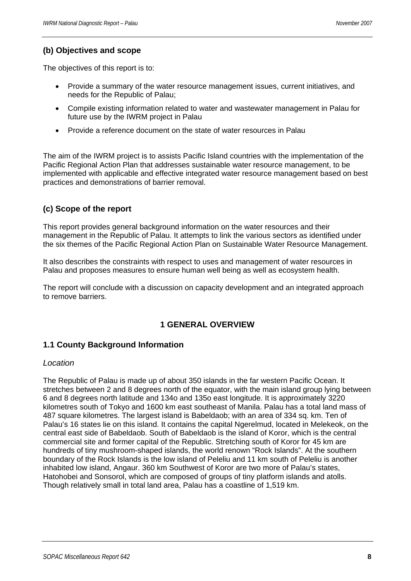# **(b) Objectives and scope**

The objectives of this report is to:

- Provide a summary of the water resource management issues, current initiatives, and needs for the Republic of Palau;
- Compile existing information related to water and wastewater management in Palau for future use by the IWRM project in Palau
- Provide a reference document on the state of water resources in Palau

The aim of the IWRM project is to assists Pacific Island countries with the implementation of the Pacific Regional Action Plan that addresses sustainable water resource management, to be implemented with applicable and effective integrated water resource management based on best practices and demonstrations of barrier removal.

# **(c) Scope of the report**

This report provides general background information on the water resources and their management in the Republic of Palau. It attempts to link the various sectors as identified under the six themes of the Pacific Regional Action Plan on Sustainable Water Resource Management.

It also describes the constraints with respect to uses and management of water resources in Palau and proposes measures to ensure human well being as well as ecosystem health.

The report will conclude with a discussion on capacity development and an integrated approach to remove barriers.

# **1 GENERAL OVERVIEW**

# **1.1 County Background Information**

#### *Location*

The Republic of Palau is made up of about 350 islands in the far western Pacific Ocean. It stretches between 2 and 8 degrees north of the equator, with the main island group lying between 6 and 8 degrees north latitude and 134o and 135o east longitude. It is approximately 3220 kilometres south of Tokyo and 1600 km east southeast of Manila. Palau has a total land mass of 487 square kilometres. The largest island is Babeldaob; with an area of 334 sq. km. Ten of Palau's 16 states lie on this island. It contains the capital Ngerelmud, located in Melekeok, on the central east side of Babeldaob. South of Babeldaob is the island of Koror, which is the central commercial site and former capital of the Republic. Stretching south of Koror for 45 km are hundreds of tiny mushroom-shaped islands, the world renown "Rock Islands". At the southern boundary of the Rock Islands is the low island of Peleliu and 11 km south of Peleliu is another inhabited low island, Angaur. 360 km Southwest of Koror are two more of Palau's states, Hatohobei and Sonsorol, which are composed of groups of tiny platform islands and atolls. Though relatively small in total land area, Palau has a coastline of 1,519 km.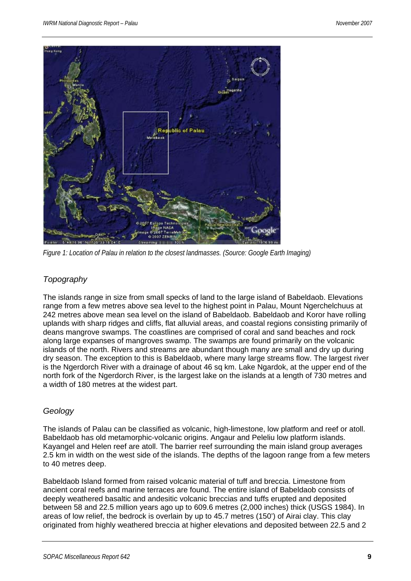

*Figure 1: Location of Palau in relation to the closest landmasses. (Source: Google Earth Imaging)* 

#### *Topography*

The islands range in size from small specks of land to the large island of Babeldaob. Elevations range from a few metres above sea level to the highest point in Palau, Mount Ngerchelchuus at 242 metres above mean sea level on the island of Babeldaob. Babeldaob and Koror have rolling uplands with sharp ridges and cliffs, flat alluvial areas, and coastal regions consisting primarily of deans mangrove swamps. The coastlines are comprised of coral and sand beaches and rock along large expanses of mangroves swamp. The swamps are found primarily on the volcanic islands of the north. Rivers and streams are abundant though many are small and dry up during dry season. The exception to this is Babeldaob, where many large streams flow. The largest river is the Ngerdorch River with a drainage of about 46 sq km. Lake Ngardok, at the upper end of the north fork of the Ngerdorch River, is the largest lake on the islands at a length of 730 metres and a width of 180 metres at the widest part.

# *Geology*

The islands of Palau can be classified as volcanic, high-limestone, low platform and reef or atoll. Babeldaob has old metamorphic-volcanic origins. Angaur and Peleliu low platform islands. Kayangel and Helen reef are atoll. The barrier reef surrounding the main island group averages 2.5 km in width on the west side of the islands. The depths of the lagoon range from a few meters to 40 metres deep.

Babeldaob Island formed from raised volcanic material of tuff and breccia. Limestone from ancient coral reefs and marine terraces are found. The entire island of Babeldaob consists of deeply weathered basaltic and andesitic volcanic breccias and tuffs erupted and deposited between 58 and 22.5 million years ago up to 609.6 metres (2,000 inches) thick (USGS 1984). In areas of low relief, the bedrock is overlain by up to 45.7 metres (150') of Airai clay. This clay originated from highly weathered breccia at higher elevations and deposited between 22.5 and 2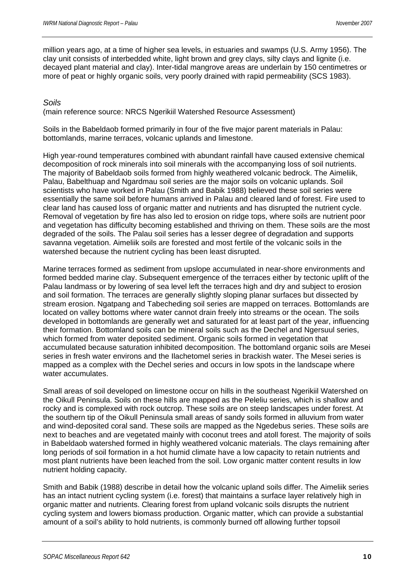million years ago, at a time of higher sea levels, in estuaries and swamps (U.S. Army 1956). The clay unit consists of interbedded white, light brown and grey clays, silty clays and lignite (i.e. decayed plant material and clay). Inter-tidal mangrove areas are underlain by 150 centimetres or more of peat or highly organic soils, very poorly drained with rapid permeability (SCS 1983).

#### *Soils*

(main reference source: NRCS Ngerikiil Watershed Resource Assessment)

Soils in the Babeldaob formed primarily in four of the five major parent materials in Palau: bottomlands, marine terraces, volcanic uplands and limestone.

High year-round temperatures combined with abundant rainfall have caused extensive chemical decomposition of rock minerals into soil minerals with the accompanying loss of soil nutrients. The majority of Babeldaob soils formed from highly weathered volcanic bedrock. The Aimeliik, Palau, Babelthuap and Ngardmau soil series are the major soils on volcanic uplands. Soil scientists who have worked in Palau (Smith and Babik 1988) believed these soil series were essentially the same soil before humans arrived in Palau and cleared land of forest. Fire used to clear land has caused loss of organic matter and nutrients and has disrupted the nutrient cycle. Removal of vegetation by fire has also led to erosion on ridge tops, where soils are nutrient poor and vegetation has difficulty becoming established and thriving on them. These soils are the most degraded of the soils. The Palau soil series has a lesser degree of degradation and supports savanna vegetation. Aimeliik soils are forested and most fertile of the volcanic soils in the watershed because the nutrient cycling has been least disrupted.

Marine terraces formed as sediment from upslope accumulated in near-shore environments and formed bedded marine clay. Subsequent emergence of the terraces either by tectonic uplift of the Palau landmass or by lowering of sea level left the terraces high and dry and subject to erosion and soil formation. The terraces are generally slightly sloping planar surfaces but dissected by stream erosion. Ngatpang and Tabecheding soil series are mapped on terraces. Bottomlands are located on valley bottoms where water cannot drain freely into streams or the ocean. The soils developed in bottomlands are generally wet and saturated for at least part of the year, influencing their formation. Bottomland soils can be mineral soils such as the Dechel and Ngersuul series, which formed from water deposited sediment. Organic soils formed in vegetation that accumulated because saturation inhibited decomposition. The bottomland organic soils are Mesei series in fresh water environs and the Ilachetomel series in brackish water. The Mesei series is mapped as a complex with the Dechel series and occurs in low spots in the landscape where water accumulates.

Small areas of soil developed on limestone occur on hills in the southeast Ngerikiil Watershed on the Oikull Peninsula. Soils on these hills are mapped as the Peleliu series, which is shallow and rocky and is complexed with rock outcrop. These soils are on steep landscapes under forest. At the southern tip of the Oikull Peninsula small areas of sandy soils formed in alluvium from water and wind-deposited coral sand. These soils are mapped as the Ngedebus series. These soils are next to beaches and are vegetated mainly with coconut trees and atoll forest. The majority of soils in Babeldaob watershed formed in highly weathered volcanic materials. The clays remaining after long periods of soil formation in a hot humid climate have a low capacity to retain nutrients and most plant nutrients have been leached from the soil. Low organic matter content results in low nutrient holding capacity.

Smith and Babik (1988) describe in detail how the volcanic upland soils differ. The Aimeliik series has an intact nutrient cycling system (i.e. forest) that maintains a surface layer relatively high in organic matter and nutrients. Clearing forest from upland volcanic soils disrupts the nutrient cycling system and lowers biomass production. Organic matter, which can provide a substantial amount of a soil's ability to hold nutrients, is commonly burned off allowing further topsoil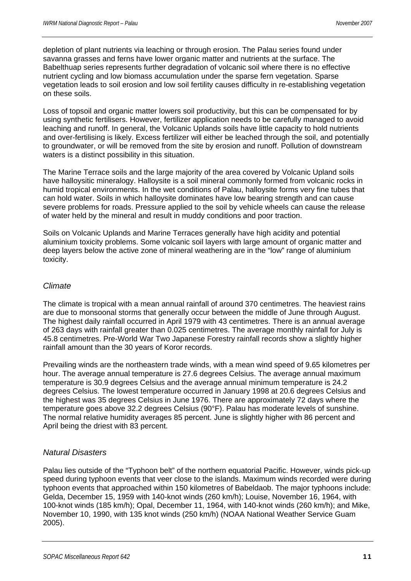depletion of plant nutrients via leaching or through erosion. The Palau series found under savanna grasses and ferns have lower organic matter and nutrients at the surface. The Babelthuap series represents further degradation of volcanic soil where there is no effective nutrient cycling and low biomass accumulation under the sparse fern vegetation. Sparse vegetation leads to soil erosion and low soil fertility causes difficulty in re-establishing vegetation on these soils.

Loss of topsoil and organic matter lowers soil productivity, but this can be compensated for by using synthetic fertilisers. However, fertilizer application needs to be carefully managed to avoid leaching and runoff. In general, the Volcanic Uplands soils have little capacity to hold nutrients and over-fertilising is likely. Excess fertilizer will either be leached through the soil, and potentially to groundwater, or will be removed from the site by erosion and runoff. Pollution of downstream waters is a distinct possibility in this situation.

The Marine Terrace soils and the large majority of the area covered by Volcanic Upland soils have halloysitic mineralogy. Halloysite is a soil mineral commonly formed from volcanic rocks in humid tropical environments. In the wet conditions of Palau, halloysite forms very fine tubes that can hold water. Soils in which halloysite dominates have low bearing strength and can cause severe problems for roads. Pressure applied to the soil by vehicle wheels can cause the release of water held by the mineral and result in muddy conditions and poor traction.

Soils on Volcanic Uplands and Marine Terraces generally have high acidity and potential aluminium toxicity problems. Some volcanic soil layers with large amount of organic matter and deep layers below the active zone of mineral weathering are in the "low" range of aluminium toxicity.

#### *Climate*

The climate is tropical with a mean annual rainfall of around 370 centimetres. The heaviest rains are due to monsoonal storms that generally occur between the middle of June through August. The highest daily rainfall occurred in April 1979 with 43 centimetres. There is an annual average of 263 days with rainfall greater than 0.025 centimetres. The average monthly rainfall for July is 45.8 centimetres. Pre-World War Two Japanese Forestry rainfall records show a slightly higher rainfall amount than the 30 years of Koror records.

Prevailing winds are the northeastern trade winds, with a mean wind speed of 9.65 kilometres per hour. The average annual temperature is 27.6 degrees Celsius. The average annual maximum temperature is 30.9 degrees Celsius and the average annual minimum temperature is 24.2 degrees Celsius. The lowest temperature occurred in January 1998 at 20.6 degrees Celsius and the highest was 35 degrees Celsius in June 1976. There are approximately 72 days where the temperature goes above 32.2 degrees Celsius (90°F). Palau has moderate levels of sunshine. The normal relative humidity averages 85 percent. June is slightly higher with 86 percent and April being the driest with 83 percent.

#### *Natural Disasters*

Palau lies outside of the "Typhoon belt" of the northern equatorial Pacific. However, winds pick-up speed during typhoon events that veer close to the islands. Maximum winds recorded were during typhoon events that approached within 150 kilometres of Babeldaob. The major typhoons include: Gelda, December 15, 1959 with 140-knot winds (260 km/h); Louise, November 16, 1964, with 100-knot winds (185 km/h); Opal, December 11, 1964, with 140-knot winds (260 km/h); and Mike, November 10, 1990, with 135 knot winds (250 km/h) (NOAA National Weather Service Guam 2005).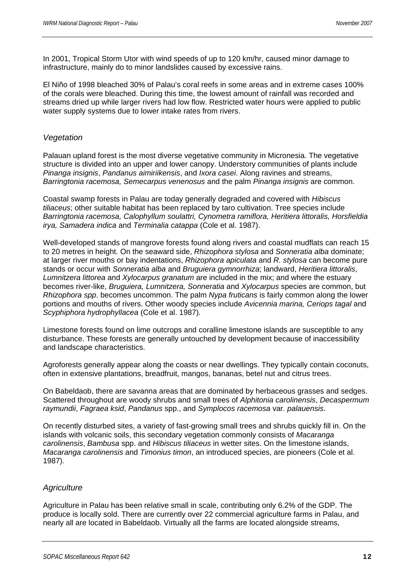In 2001, Tropical Storm Utor with wind speeds of up to 120 km/hr, caused minor damage to infrastructure, mainly do to minor landslides caused by excessive rains.

El Niño of 1998 bleached 30% of Palau's coral reefs in some areas and in extreme cases 100% of the corals were bleached. During this time, the lowest amount of rainfall was recorded and streams dried up while larger rivers had low flow. Restricted water hours were applied to public water supply systems due to lower intake rates from rivers.

#### *Vegetation*

Palauan upland forest is the most diverse vegetative community in Micronesia. The vegetative structure is divided into an upper and lower canopy. Understory communities of plants include *Pinanga insignis*, *Pandanus aimiriikensis*, and *Ixora casei*. Along ravines and streams, *Barringtonia racemosa, Semecarpus venenosus* and the palm *Pinanga insignis* are common.

Coastal swamp forests in Palau are today generally degraded and covered with *Hibiscus tiliaceus*; other suitable habitat has been replaced by taro cultivation. Tree species include *Barringtonia racemosa, Calophyllum soulattri, Cynometra ramiflora, Heritiera littoralis, Horsfieldia irya, Samadera indica* and *Terminalia catappa* (Cole et al. 1987).

Well-developed stands of mangrove forests found along rivers and coastal mudflats can reach 15 to 20 metres in height. On the seaward side, *Rhizophora stylosa* and *Sonneratia alba* dominate; at larger river mouths or bay indentations, *Rhizophora apiculata* and *R. stylosa* can become pure stands or occur with *Sonneratia alba* and *Bruguiera gymnorrhiza*; landward, *Heritiera littoralis*, *Lumnitzera littorea* and *Xylocarpus granatum* are included in the mix; and where the estuary becomes river-like, *Bruguiera, Lumnitzera, Sonneratia* and *Xylocarpus* species are common, but *Rhizophora spp*. becomes uncommon. The palm *Nypa fruticans* is fairly common along the lower portions and mouths of rivers. Other woody species include *Avicennia marina, Ceriops tagal* and *Scyphiphora hydrophyllacea* (Cole et al. 1987)*.* 

Limestone forests found on lime outcrops and coralline limestone islands are susceptible to any disturbance. These forests are generally untouched by development because of inaccessibility and landscape characteristics.

Agroforests generally appear along the coasts or near dwellings. They typically contain coconuts, often in extensive plantations, breadfruit, mangos, bananas, betel nut and citrus trees.

On Babeldaob, there are savanna areas that are dominated by herbaceous grasses and sedges. Scattered throughout are woody shrubs and small trees of *Alphitonia carolinensis*, *Decaspermum raymundii*, *Fagraea ksid*, *Pandanus* spp., and *Symplocos racemosa* var. *palauensis*.

On recently disturbed sites, a variety of fast-growing small trees and shrubs quickly fill in. On the islands with volcanic soils, this secondary vegetation commonly consists of *Macaranga carolinensis*, *Bambusa* spp. and *Hibiscus tiliaceus* in wetter sites. On the limestone islands, *Macaranga carolinensis* and *Timonius timon*, an introduced species, are pioneers (Cole et al. 1987).

#### *Agriculture*

Agriculture in Palau has been relative small in scale, contributing only 6.2% of the GDP. The produce is locally sold. There are currently over 22 commercial agriculture farms in Palau, and nearly all are located in Babeldaob. Virtually all the farms are located alongside streams,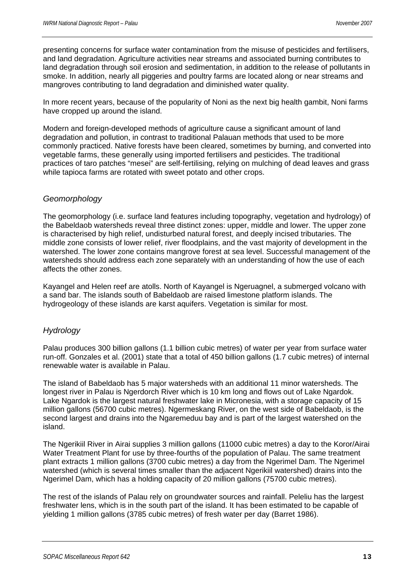presenting concerns for surface water contamination from the misuse of pesticides and fertilisers, and land degradation. Agriculture activities near streams and associated burning contributes to land degradation through soil erosion and sedimentation, in addition to the release of pollutants in smoke. In addition, nearly all piggeries and poultry farms are located along or near streams and mangroves contributing to land degradation and diminished water quality.

In more recent years, because of the popularity of Noni as the next big health gambit, Noni farms have cropped up around the island.

Modern and foreign-developed methods of agriculture cause a significant amount of land degradation and pollution, in contrast to traditional Palauan methods that used to be more commonly practiced. Native forests have been cleared, sometimes by burning, and converted into vegetable farms, these generally using imported fertilisers and pesticides. The traditional practices of taro patches "mesei" are self-fertilising, relying on mulching of dead leaves and grass while tapioca farms are rotated with sweet potato and other crops.

#### *Geomorphology*

The geomorphology (i.e. surface land features including topography, vegetation and hydrology) of the Babeldaob watersheds reveal three distinct zones: upper, middle and lower. The upper zone is characterised by high relief, undisturbed natural forest, and deeply incised tributaries. The middle zone consists of lower relief, river floodplains, and the vast majority of development in the watershed. The lower zone contains mangrove forest at sea level. Successful management of the watersheds should address each zone separately with an understanding of how the use of each affects the other zones.

Kayangel and Helen reef are atolls. North of Kayangel is Ngeruagnel, a submerged volcano with a sand bar. The islands south of Babeldaob are raised limestone platform islands. The hydrogeology of these islands are karst aquifers. Vegetation is similar for most.

#### *Hydrology*

Palau produces 300 billion gallons (1.1 billion cubic metres) of water per year from surface water run-off. Gonzales et al. (2001) state that a total of 450 billion gallons (1.7 cubic metres) of internal renewable water is available in Palau.

The island of Babeldaob has 5 major watersheds with an additional 11 minor watersheds. The longest river in Palau is Ngerdorch River which is 10 km long and flows out of Lake Ngardok. Lake Ngardok is the largest natural freshwater lake in Micronesia, with a storage capacity of 15 million gallons (56700 cubic metres). Ngermeskang River, on the west side of Babeldaob, is the second largest and drains into the Ngaremeduu bay and is part of the largest watershed on the island.

The Ngerikiil River in Airai supplies 3 million gallons (11000 cubic metres) a day to the Koror/Airai Water Treatment Plant for use by three-fourths of the population of Palau. The same treatment plant extracts 1 million gallons (3700 cubic metres) a day from the Ngerimel Dam. The Ngerimel watershed (which is several times smaller than the adjacent Ngerikiil watershed) drains into the Ngerimel Dam, which has a holding capacity of 20 million gallons (75700 cubic metres).

The rest of the islands of Palau rely on groundwater sources and rainfall. Peleliu has the largest freshwater lens, which is in the south part of the island. It has been estimated to be capable of yielding 1 million gallons (3785 cubic metres) of fresh water per day (Barret 1986).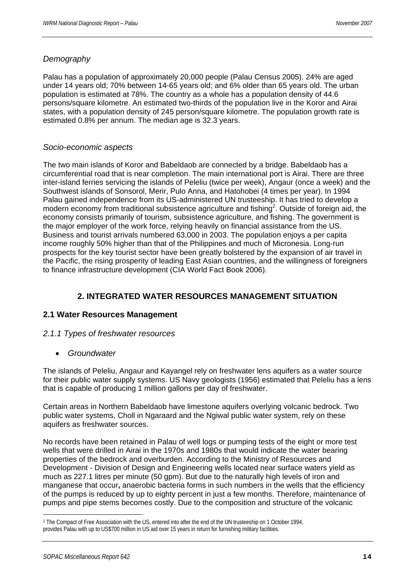#### *Demography*

Palau has a population of approximately 20,000 people (Palau Census 2005). 24% are aged under 14 years old; 70% between 14-65 years old; and 6% older than 65 years old. The urban population is estimated at 78%. The country as a whole has a population density of 44.6 persons/square kilometre. An estimated two-thirds of the population live in the Koror and Airai states, with a population density of 245 person/square kilometre. The population growth rate is estimated 0.8% per annum. The median age is 32.3 years.

#### *Socio-economic aspects*

The two main islands of Koror and Babeldaob are connected by a bridge. Babeldaob has a circumferential road that is near completion. The main international port is Airai. There are three inter-island ferries servicing the islands of Peleliu (twice per week), Angaur (once a week) and the Southwest islands of Sonsorol, Merir, Pulo Anna, and Hatohobei (4 times per year). In 1994 Palau gained independence from its US-administered UN trusteeship. It has tried to develop a modern economy from traditional subsistence agriculture and fishing<sup>2</sup>. Outside of foreign aid, the economy consists primarily of tourism, subsistence agriculture, and fishing. The government is the major employer of the work force, relying heavily on financial assistance from the US. Business and tourist arrivals numbered 63,000 in 2003. The population enjoys a per capita income roughly 50% higher than that of the Philippines and much of Micronesia. Long-run prospects for the key tourist sector have been greatly bolstered by the expansion of air travel in the Pacific, the rising prosperity of leading East Asian countries, and the willingness of foreigners to finance infrastructure development (CIA World Fact Book 2006).

# **2. INTEGRATED WATER RESOURCES MANAGEMENT SITUATION**

#### **2.1 Water Resources Management**

#### *2.1.1 Types of freshwater resources*

• *Groundwater* 

The islands of Peleliu, Angaur and Kayangel rely on freshwater lens aquifers as a water source for their public water supply systems. US Navy geologists (1956) estimated that Peleliu has a lens that is capable of producing 1 million gallons per day of freshwater.

Certain areas in Northern Babeldaob have limestone aquifers overlying volcanic bedrock. Two public water systems, Choll in Ngaraard and the Ngiwal public water system, rely on these aquifers as freshwater sources.

No records have been retained in Palau of well logs or pumping tests of the eight or more test wells that were drilled in Airai in the 1970s and 1980s that would indicate the water bearing properties of the bedrock and overburden. According to the Ministry of Resources and Development - Division of Design and Engineering wells located near surface waters yield as much as 227.1 litres per minute (50 gpm). But due to the naturally high levels of iron and manganese that occur**,** anaerobic bacteria forms in such numbers in the wells that the efficiency of the pumps is reduced by up to eighty percent in just a few months. Therefore, maintenance of pumps and pipe stems becomes costly. Due to the composition and structure of the volcanic

 $\overline{a}$ 

<sup>&</sup>lt;sup>2</sup> The Compact of Free Association with the US, entered into after the end of the UN trusteeship on 1 October 1994, provides Palau with up to US\$700 million in US aid over 15 years in return for furnishing military facilities.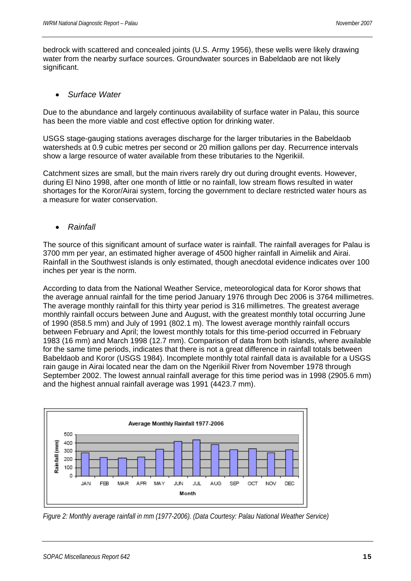bedrock with scattered and concealed joints (U.S. Army 1956), these wells were likely drawing water from the nearby surface sources. Groundwater sources in Babeldaob are not likely significant.

#### • *Surface Water*

Due to the abundance and largely continuous availability of surface water in Palau, this source has been the more viable and cost effective option for drinking water.

USGS stage-gauging stations averages discharge for the larger tributaries in the Babeldaob watersheds at 0.9 cubic metres per second or 20 million gallons per day. Recurrence intervals show a large resource of water available from these tributaries to the Ngerikiil.

Catchment sizes are small, but the main rivers rarely dry out during drought events. However, during El Nino 1998, after one month of little or no rainfall, low stream flows resulted in water shortages for the Koror/Airai system, forcing the government to declare restricted water hours as a measure for water conservation.

#### • *Rainfall*

The source of this significant amount of surface water is rainfall. The rainfall averages for Palau is 3700 mm per year, an estimated higher average of 4500 higher rainfall in Aimeliik and Airai. Rainfall in the Southwest islands is only estimated, though anecdotal evidence indicates over 100 inches per year is the norm.

According to data from the National Weather Service, meteorological data for Koror shows that the average annual rainfall for the time period January 1976 through Dec 2006 is 3764 millimetres. The average monthly rainfall for this thirty year period is 316 millimetres. The greatest average monthly rainfall occurs between June and August, with the greatest monthly total occurring June of 1990 (858.5 mm) and July of 1991 (802.1 m). The lowest average monthly rainfall occurs between February and April; the lowest monthly totals for this time-period occurred in February 1983 (16 mm) and March 1998 (12.7 mm). Comparison of data from both islands, where available for the same time periods, indicates that there is not a great difference in rainfall totals between Babeldaob and Koror (USGS 1984). Incomplete monthly total rainfall data is available for a USGS rain gauge in Airai located near the dam on the Ngerikiil River from November 1978 through September 2002. The lowest annual rainfall average for this time period was in 1998 (2905.6 mm) and the highest annual rainfall average was 1991 (4423.7 mm).



*Figure 2: Monthly average rainfall in mm (1977-2006). (Data Courtesy: Palau National Weather Service)*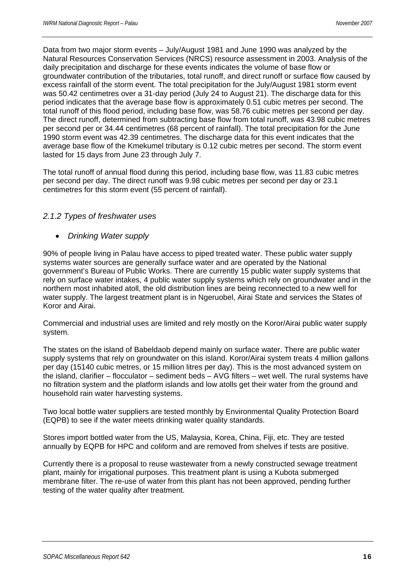Data from two major storm events – July/August 1981 and June 1990 was analyzed by the Natural Resources Conservation Services (NRCS) resource assessment in 2003. Analysis of the daily precipitation and discharge for these events indicates the volume of base flow or groundwater contribution of the tributaries, total runoff, and direct runoff or surface flow caused by excess rainfall of the storm event. The total precipitation for the July/August 1981 storm event was 50.42 centimetres over a 31-day period (July 24 to August 21). The discharge data for this period indicates that the average base flow is approximately 0.51 cubic metres per second. The total runoff of this flood period, including base flow, was 58.76 cubic metres per second per day. The direct runoff, determined from subtracting base flow from total runoff, was 43.98 cubic metres per second per or 34.44 centimetres (68 percent of rainfall). The total precipitation for the June 1990 storm event was 42.39 centimetres. The discharge data for this event indicates that the average base flow of the Kmekumel tributary is 0.12 cubic metres per second. The storm event lasted for 15 days from June 23 through July 7.

The total runoff of annual flood during this period, including base flow, was 11.83 cubic metres per second per day. The direct runoff was 9.98 cubic metres per second per day or 23.1 centimetres for this storm event (55 percent of rainfall).

#### *2.1.2 Types of freshwater uses*

#### • *Drinking Water supply*

90% of people living in Palau have access to piped treated water. These public water supply systems water sources are generally surface water and are operated by the National government's Bureau of Public Works. There are currently 15 public water supply systems that rely on surface water intakes, 4 public water supply systems which rely on groundwater and in the northern most inhabited atoll, the old distribution lines are being reconnected to a new well for water supply. The largest treatment plant is in Ngeruobel, Airai State and services the States of Koror and Airai.

Commercial and industrial uses are limited and rely mostly on the Koror/Airai public water supply system.

The states on the island of Babeldaob depend mainly on surface water. There are public water supply systems that rely on groundwater on this island. Koror/Airai system treats 4 million gallons per day (15140 cubic metres, or 15 million litres per day). This is the most advanced system on the island, clarifier – flocculator – sediment beds – AVG filters – wet well. The rural systems have no filtration system and the platform islands and low atolls get their water from the ground and household rain water harvesting systems.

Two local bottle water suppliers are tested monthly by Environmental Quality Protection Board (EQPB) to see if the water meets drinking water quality standards.

Stores import bottled water from the US, Malaysia, Korea, China, Fiji, etc. They are tested annually by EQPB for HPC and coliform and are removed from shelves if tests are positive.

Currently there is a proposal to reuse wastewater from a newly constructed sewage treatment plant, mainly for irrigational purposes. This treatment plant is using a Kubota submerged membrane filter. The re-use of water from this plant has not been approved, pending further testing of the water quality after treatment.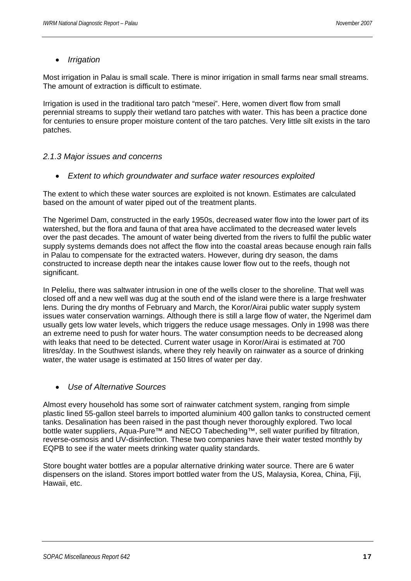#### • *Irrigation*

Most irrigation in Palau is small scale. There is minor irrigation in small farms near small streams. The amount of extraction is difficult to estimate.

Irrigation is used in the traditional taro patch "mesei". Here, women divert flow from small perennial streams to supply their wetland taro patches with water. This has been a practice done for centuries to ensure proper moisture content of the taro patches. Very little silt exists in the taro patches.

#### *2.1.3 Major issues and concerns*

• *Extent to which groundwater and surface water resources exploited* 

The extent to which these water sources are exploited is not known. Estimates are calculated based on the amount of water piped out of the treatment plants.

The Ngerimel Dam, constructed in the early 1950s, decreased water flow into the lower part of its watershed, but the flora and fauna of that area have acclimated to the decreased water levels over the past decades. The amount of water being diverted from the rivers to fulfil the public water supply systems demands does not affect the flow into the coastal areas because enough rain falls in Palau to compensate for the extracted waters. However, during dry season, the dams constructed to increase depth near the intakes cause lower flow out to the reefs, though not significant.

In Peleliu, there was saltwater intrusion in one of the wells closer to the shoreline. That well was closed off and a new well was dug at the south end of the island were there is a large freshwater lens. During the dry months of February and March, the Koror/Airai public water supply system issues water conservation warnings. Although there is still a large flow of water, the Ngerimel dam usually gets low water levels, which triggers the reduce usage messages. Only in 1998 was there an extreme need to push for water hours. The water consumption needs to be decreased along with leaks that need to be detected. Current water usage in Koror/Airai is estimated at 700 litres/day. In the Southwest islands, where they rely heavily on rainwater as a source of drinking water, the water usage is estimated at 150 litres of water per day.

#### • *Use of Alternative Sources*

Almost every household has some sort of rainwater catchment system, ranging from simple plastic lined 55-gallon steel barrels to imported aluminium 400 gallon tanks to constructed cement tanks. Desalination has been raised in the past though never thoroughly explored. Two local bottle water suppliers, Aqua-Pure<sup>™</sup> and NECO Tabecheding™, sell water purified by filtration, reverse-osmosis and UV-disinfection. These two companies have their water tested monthly by EQPB to see if the water meets drinking water quality standards.

Store bought water bottles are a popular alternative drinking water source. There are 6 water dispensers on the island. Stores import bottled water from the US, Malaysia, Korea, China, Fiji, Hawaii, etc.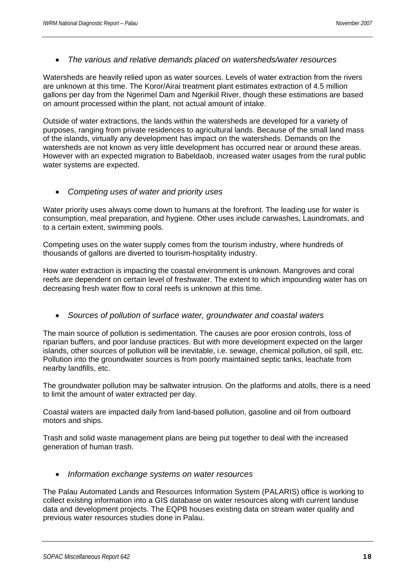#### • *The various and relative demands placed on watersheds/water resources*

Watersheds are heavily relied upon as water sources. Levels of water extraction from the rivers are unknown at this time. The Koror/Airai treatment plant estimates extraction of 4.5 million gallons per day from the Ngerimel Dam and Ngerikiil River, though these estimations are based on amount processed within the plant, not actual amount of intake.

Outside of water extractions, the lands within the watersheds are developed for a variety of purposes, ranging from private residences to agricultural lands. Because of the small land mass of the islands, virtually any development has impact on the watersheds. Demands on the watersheds are not known as very little development has occurred near or around these areas. However with an expected migration to Babeldaob, increased water usages from the rural public water systems are expected.

#### • *Competing uses of water and priority uses*

Water priority uses always come down to humans at the forefront. The leading use for water is consumption, meal preparation, and hygiene. Other uses include carwashes, Laundromats, and to a certain extent, swimming pools.

Competing uses on the water supply comes from the tourism industry, where hundreds of thousands of gallons are diverted to tourism-hospitality industry.

How water extraction is impacting the coastal environment is unknown. Mangroves and coral reefs are dependent on certain level of freshwater. The extent to which impounding water has on decreasing fresh water flow to coral reefs is unknown at this time.

#### • *Sources of pollution of surface water, groundwater and coastal waters*

The main source of pollution is sedimentation. The causes are poor erosion controls, loss of riparian buffers, and poor landuse practices. But with more development expected on the larger islands, other sources of pollution will be inevitable, i.e. sewage, chemical pollution, oil spill, etc. Pollution into the groundwater sources is from poorly maintained septic tanks, leachate from nearby landfills, etc.

The groundwater pollution may be saltwater intrusion. On the platforms and atolls, there is a need to limit the amount of water extracted per day.

Coastal waters are impacted daily from land-based pollution, gasoline and oil from outboard motors and ships.

Trash and solid waste management plans are being put together to deal with the increased generation of human trash.

• *Information exchange systems on water resources* 

The Palau Automated Lands and Resources Information System (PALARIS) office is working to collect existing information into a GIS database on water resources along with current landuse data and development projects. The EQPB houses existing data on stream water quality and previous water resources studies done in Palau.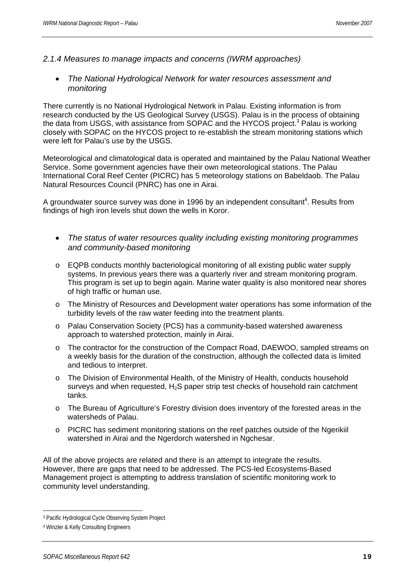- *2.1.4 Measures to manage impacts and concerns (IWRM approaches)* 
	- *The National Hydrological Network for water resources assessment and monitoring*

There currently is no National Hydrological Network in Palau. Existing information is from research conducted by the US Geological Survey (USGS). Palau is in the process of obtaining the data from USGS, with assistance from SOPAC and the HYCOS project.<sup>3</sup> Palau is working closely with SOPAC on the HYCOS project to re-establish the stream monitoring stations which were left for Palau's use by the USGS.

Meteorological and climatological data is operated and maintained by the Palau National Weather Service. Some government agencies have their own meteorological stations. The Palau International Coral Reef Center (PICRC) has 5 meteorology stations on Babeldaob. The Palau Natural Resources Council (PNRC) has one in Airai.

A groundwater source survey was done in 1996 by an independent consultant<sup>4</sup>. Results from findings of high iron levels shut down the wells in Koror.

- *The status of water resources quality including existing monitoring programmes and community-based monitoring*
- o EQPB conducts monthly bacteriological monitoring of all existing public water supply systems. In previous years there was a quarterly river and stream monitoring program. This program is set up to begin again. Marine water quality is also monitored near shores of high traffic or human use.
- o The Ministry of Resources and Development water operations has some information of the turbidity levels of the raw water feeding into the treatment plants.
- o Palau Conservation Society (PCS) has a community-based watershed awareness approach to watershed protection, mainly in Airai.
- o The contractor for the construction of the Compact Road, DAEWOO, sampled streams on a weekly basis for the duration of the construction, although the collected data is limited and tedious to interpret.
- o The Division of Environmental Health, of the Ministry of Health, conducts household surveys and when requested,  $H_2S$  paper strip test checks of household rain catchment tanks.
- o The Bureau of Agriculture's Forestry division does inventory of the forested areas in the watersheds of Palau.
- o PICRC has sediment monitoring stations on the reef patches outside of the Ngerikiil watershed in Airai and the Ngerdorch watershed in Ngchesar.

All of the above projects are related and there is an attempt to integrate the results. However, there are gaps that need to be addressed. The PCS-led Ecosystems-Based Management project is attempting to address translation of scientific monitoring work to community level understanding.

 $\overline{a}$ 

<sup>3</sup> Pacific Hydrological Cycle Observing System Project

<sup>4</sup> Winzler & Kelly Consulting Engineers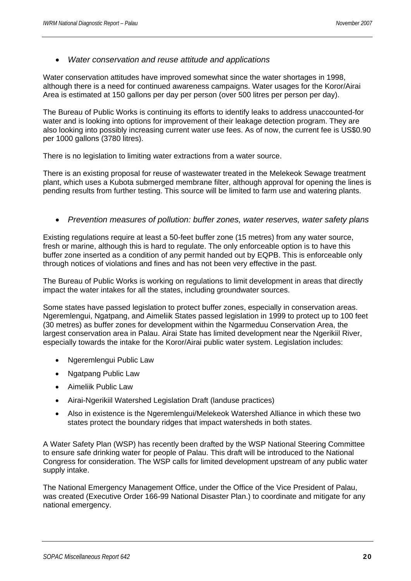#### • *Water conservation and reuse attitude and applications*

Water conservation attitudes have improved somewhat since the water shortages in 1998, although there is a need for continued awareness campaigns. Water usages for the Koror/Airai Area is estimated at 150 gallons per day per person (over 500 litres per person per day).

The Bureau of Public Works is continuing its efforts to identify leaks to address unaccounted-for water and is looking into options for improvement of their leakage detection program. They are also looking into possibly increasing current water use fees. As of now, the current fee is US\$0.90 per 1000 gallons (3780 litres).

There is no legislation to limiting water extractions from a water source.

There is an existing proposal for reuse of wastewater treated in the Melekeok Sewage treatment plant, which uses a Kubota submerged membrane filter, although approval for opening the lines is pending results from further testing. This source will be limited to farm use and watering plants.

• *Prevention measures of pollution: buffer zones, water reserves, water safety plans* 

Existing regulations require at least a 50-feet buffer zone (15 metres) from any water source, fresh or marine, although this is hard to regulate. The only enforceable option is to have this buffer zone inserted as a condition of any permit handed out by EQPB. This is enforceable only through notices of violations and fines and has not been very effective in the past.

The Bureau of Public Works is working on regulations to limit development in areas that directly impact the water intakes for all the states, including groundwater sources.

Some states have passed legislation to protect buffer zones, especially in conservation areas. Ngeremlengui, Ngatpang, and Aimeliik States passed legislation in 1999 to protect up to 100 feet (30 metres) as buffer zones for development within the Ngarmeduu Conservation Area, the largest conservation area in Palau. Airai State has limited development near the Ngerikiil River, especially towards the intake for the Koror/Airai public water system. Legislation includes:

- Ngeremlengui Public Law
- Ngatpang Public Law
- Aimeliik Public Law
- Airai-Ngerikiil Watershed Legislation Draft (landuse practices)
- Also in existence is the Ngeremlengui/Melekeok Watershed Alliance in which these two states protect the boundary ridges that impact watersheds in both states.

A Water Safety Plan (WSP) has recently been drafted by the WSP National Steering Committee to ensure safe drinking water for people of Palau. This draft will be introduced to the National Congress for consideration. The WSP calls for limited development upstream of any public water supply intake.

The National Emergency Management Office, under the Office of the Vice President of Palau, was created (Executive Order 166-99 National Disaster Plan.) to coordinate and mitigate for any national emergency.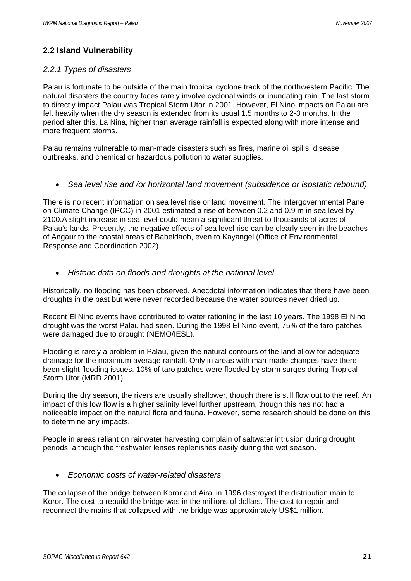# **2.2 Island Vulnerability**

#### *2.2.1 Types of disasters*

Palau is fortunate to be outside of the main tropical cyclone track of the northwestern Pacific. The natural disasters the country faces rarely involve cyclonal winds or inundating rain. The last storm to directly impact Palau was Tropical Storm Utor in 2001. However, El Nino impacts on Palau are felt heavily when the dry season is extended from its usual 1.5 months to 2-3 months. In the period after this, La Nina, higher than average rainfall is expected along with more intense and more frequent storms.

Palau remains vulnerable to man-made disasters such as fires, marine oil spills, disease outbreaks, and chemical or hazardous pollution to water supplies.

• *Sea level rise and /or horizontal land movement (subsidence or isostatic rebound)* 

There is no recent information on sea level rise or land movement. The Intergovernmental Panel on Climate Change (IPCC) in 2001 estimated a rise of between 0.2 and 0.9 m in sea level by 2100.A slight increase in sea level could mean a significant threat to thousands of acres of Palau's lands. Presently, the negative effects of sea level rise can be clearly seen in the beaches of Angaur to the coastal areas of Babeldaob, even to Kayangel (Office of Environmental Response and Coordination 2002).

• *Historic data on floods and droughts at the national level* 

Historically, no flooding has been observed. Anecdotal information indicates that there have been droughts in the past but were never recorded because the water sources never dried up.

Recent El Nino events have contributed to water rationing in the last 10 years. The 1998 El Nino drought was the worst Palau had seen. During the 1998 El Nino event, 75% of the taro patches were damaged due to drought (NEMO/IESL).

Flooding is rarely a problem in Palau, given the natural contours of the land allow for adequate drainage for the maximum average rainfall. Only in areas with man-made changes have there been slight flooding issues. 10% of taro patches were flooded by storm surges during Tropical Storm Utor (MRD 2001).

During the dry season, the rivers are usually shallower, though there is still flow out to the reef. An impact of this low flow is a higher salinity level further upstream, though this has not had a noticeable impact on the natural flora and fauna. However, some research should be done on this to determine any impacts.

People in areas reliant on rainwater harvesting complain of saltwater intrusion during drought periods, although the freshwater lenses replenishes easily during the wet season.

• *Economic costs of water-related disasters* 

The collapse of the bridge between Koror and Airai in 1996 destroyed the distribution main to Koror. The cost to rebuild the bridge was in the millions of dollars. The cost to repair and reconnect the mains that collapsed with the bridge was approximately US\$1 million.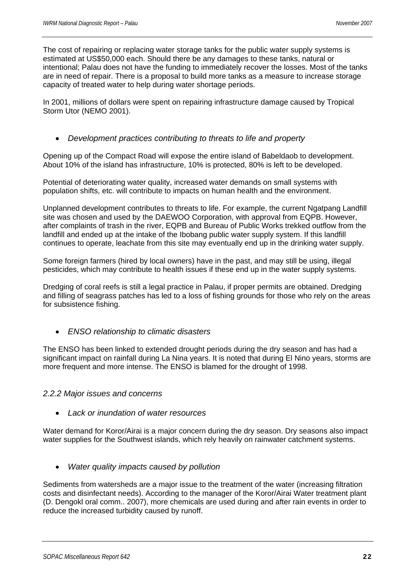The cost of repairing or replacing water storage tanks for the public water supply systems is estimated at US\$50,000 each. Should there be any damages to these tanks, natural or intentional; Palau does not have the funding to immediately recover the losses. Most of the tanks are in need of repair. There is a proposal to build more tanks as a measure to increase storage capacity of treated water to help during water shortage periods.

In 2001, millions of dollars were spent on repairing infrastructure damage caused by Tropical Storm Utor (NEMO 2001).

#### • *Development practices contributing to threats to life and property*

Opening up of the Compact Road will expose the entire island of Babeldaob to development. About 10% of the island has infrastructure, 10% is protected, 80% is left to be developed.

Potential of deteriorating water quality, increased water demands on small systems with population shifts, etc. will contribute to impacts on human health and the environment.

Unplanned development contributes to threats to life. For example, the current Ngatpang Landfill site was chosen and used by the DAEWOO Corporation, with approval from EQPB. However, after complaints of trash in the river, EQPB and Bureau of Public Works trekked outflow from the landfill and ended up at the intake of the Ibobang public water supply system. If this landfill continues to operate, leachate from this site may eventually end up in the drinking water supply.

Some foreign farmers (hired by local owners) have in the past, and may still be using, illegal pesticides, which may contribute to health issues if these end up in the water supply systems.

Dredging of coral reefs is still a legal practice in Palau, if proper permits are obtained. Dredging and filling of seagrass patches has led to a loss of fishing grounds for those who rely on the areas for subsistence fishing.

• *ENSO relationship to climatic disasters* 

The ENSO has been linked to extended drought periods during the dry season and has had a significant impact on rainfall during La Nina years. It is noted that during El Nino years, storms are more frequent and more intense. The ENSO is blamed for the drought of 1998.

#### *2.2.2 Major issues and concerns*

• *Lack or inundation of water resources* 

Water demand for Koror/Airai is a major concern during the dry season. Dry seasons also impact water supplies for the Southwest islands, which rely heavily on rainwater catchment systems.

• *Water quality impacts caused by pollution* 

Sediments from watersheds are a major issue to the treatment of the water (increasing filtration costs and disinfectant needs). According to the manager of the Koror/Airai Water treatment plant (D. Dengokl oral comm.. 2007), more chemicals are used during and after rain events in order to reduce the increased turbidity caused by runoff.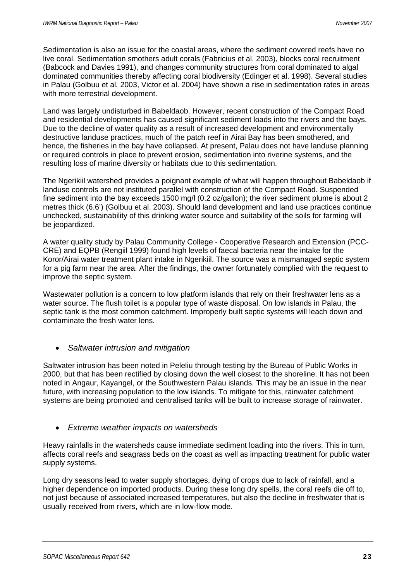Sedimentation is also an issue for the coastal areas, where the sediment covered reefs have no live coral. Sedimentation smothers adult corals (Fabricius et al. 2003), blocks coral recruitment (Babcock and Davies 1991), and changes community structures from coral dominated to algal dominated communities thereby affecting coral biodiversity (Edinger et al. 1998). Several studies in Palau (Golbuu et al*.* 2003, Victor et al. 2004) have shown a rise in sedimentation rates in areas with more terrestrial development.

Land was largely undisturbed in Babeldaob. However, recent construction of the Compact Road and residential developments has caused significant sediment loads into the rivers and the bays. Due to the decline of water quality as a result of increased development and environmentally destructive landuse practices, much of the patch reef in Airai Bay has been smothered, and hence, the fisheries in the bay have collapsed. At present, Palau does not have landuse planning or required controls in place to prevent erosion, sedimentation into riverine systems, and the resulting loss of marine diversity or habitats due to this sedimentation.

The Ngerikiil watershed provides a poignant example of what will happen throughout Babeldaob if landuse controls are not instituted parallel with construction of the Compact Road. Suspended fine sediment into the bay exceeds 1500 mg/l (0.2 oz/gallon); the river sediment plume is about 2 metres thick (6.6') (Golbuu et al. 2003). Should land development and land use practices continue unchecked, sustainability of this drinking water source and suitability of the soils for farming will be jeopardized.

A water quality study by Palau Community College - Cooperative Research and Extension (PCC-CRE) and EQPB (Rengiil 1999) found high levels of faecal bacteria near the intake for the Koror/Airai water treatment plant intake in Ngerikiil. The source was a mismanaged septic system for a pig farm near the area. After the findings, the owner fortunately complied with the request to improve the septic system.

Wastewater pollution is a concern to low platform islands that rely on their freshwater lens as a water source. The flush toilet is a popular type of waste disposal. On low islands in Palau, the septic tank is the most common catchment. Improperly built septic systems will leach down and contaminate the fresh water lens.

#### • *Saltwater intrusion and mitigation*

Saltwater intrusion has been noted in Peleliu through testing by the Bureau of Public Works in 2000, but that has been rectified by closing down the well closest to the shoreline. It has not been noted in Angaur, Kayangel, or the Southwestern Palau islands. This may be an issue in the near future, with increasing population to the low islands. To mitigate for this, rainwater catchment systems are being promoted and centralised tanks will be built to increase storage of rainwater.

#### • *Extreme weather impacts on watersheds*

Heavy rainfalls in the watersheds cause immediate sediment loading into the rivers. This in turn, affects coral reefs and seagrass beds on the coast as well as impacting treatment for public water supply systems.

Long dry seasons lead to water supply shortages, dying of crops due to lack of rainfall, and a higher dependence on imported products. During these long dry spells, the coral reefs die off to, not just because of associated increased temperatures, but also the decline in freshwater that is usually received from rivers, which are in low-flow mode.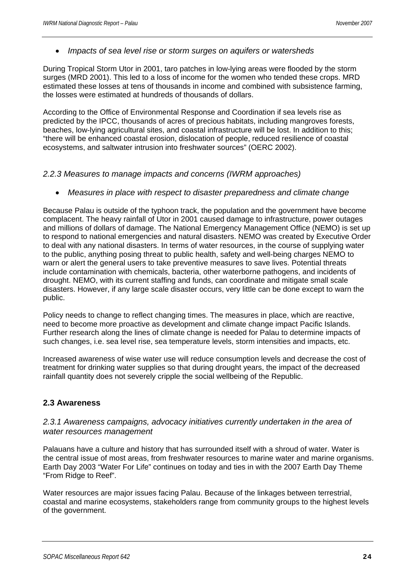• *Impacts of sea level rise or storm surges on aquifers or watersheds* 

During Tropical Storm Utor in 2001, taro patches in low-lying areas were flooded by the storm surges (MRD 2001). This led to a loss of income for the women who tended these crops. MRD estimated these losses at tens of thousands in income and combined with subsistence farming, the losses were estimated at hundreds of thousands of dollars.

According to the Office of Environmental Response and Coordination if sea levels rise as predicted by the IPCC, thousands of acres of precious habitats, including mangroves forests, beaches, low-lying agricultural sites, and coastal infrastructure will be lost. In addition to this; "there will be enhanced coastal erosion, dislocation of people, reduced resilience of coastal ecosystems, and saltwater intrusion into freshwater sources" (OERC 2002).

#### *2.2.3 Measures to manage impacts and concerns (IWRM approaches)*

• *Measures in place with respect to disaster preparedness and climate change* 

Because Palau is outside of the typhoon track, the population and the government have become complacent. The heavy rainfall of Utor in 2001 caused damage to infrastructure, power outages and millions of dollars of damage. The National Emergency Management Office (NEMO) is set up to respond to national emergencies and natural disasters. NEMO was created by Executive Order to deal with any national disasters. In terms of water resources, in the course of supplying water to the public, anything posing threat to public health, safety and well-being charges NEMO to warn or alert the general users to take preventive measures to save lives. Potential threats include contamination with chemicals, bacteria, other waterborne pathogens, and incidents of drought. NEMO, with its current staffing and funds, can coordinate and mitigate small scale disasters. However, if any large scale disaster occurs, very little can be done except to warn the public.

Policy needs to change to reflect changing times. The measures in place, which are reactive, need to become more proactive as development and climate change impact Pacific Islands. Further research along the lines of climate change is needed for Palau to determine impacts of such changes, i.e. sea level rise, sea temperature levels, storm intensities and impacts, etc.

Increased awareness of wise water use will reduce consumption levels and decrease the cost of treatment for drinking water supplies so that during drought years, the impact of the decreased rainfall quantity does not severely cripple the social wellbeing of the Republic.

#### **2.3 Awareness**

#### *2.3.1 Awareness campaigns, advocacy initiatives currently undertaken in the area of water resources management*

Palauans have a culture and history that has surrounded itself with a shroud of water. Water is the central issue of most areas, from freshwater resources to marine water and marine organisms. Earth Day 2003 "Water For Life" continues on today and ties in with the 2007 Earth Day Theme "From Ridge to Reef".

Water resources are major issues facing Palau. Because of the linkages between terrestrial, coastal and marine ecosystems, stakeholders range from community groups to the highest levels of the government.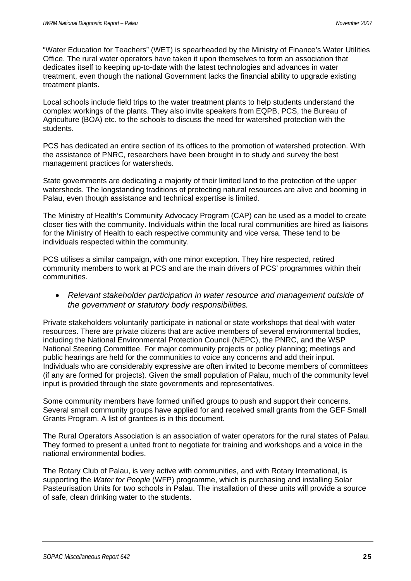"Water Education for Teachers" (WET) is spearheaded by the Ministry of Finance's Water Utilities Office. The rural water operators have taken it upon themselves to form an association that dedicates itself to keeping up-to-date with the latest technologies and advances in water treatment, even though the national Government lacks the financial ability to upgrade existing treatment plants.

Local schools include field trips to the water treatment plants to help students understand the complex workings of the plants. They also invite speakers from EQPB, PCS, the Bureau of Agriculture (BOA) etc. to the schools to discuss the need for watershed protection with the students.

PCS has dedicated an entire section of its offices to the promotion of watershed protection. With the assistance of PNRC, researchers have been brought in to study and survey the best management practices for watersheds.

State governments are dedicating a majority of their limited land to the protection of the upper watersheds. The longstanding traditions of protecting natural resources are alive and booming in Palau, even though assistance and technical expertise is limited.

The Ministry of Health's Community Advocacy Program (CAP) can be used as a model to create closer ties with the community. Individuals within the local rural communities are hired as liaisons for the Ministry of Health to each respective community and vice versa. These tend to be individuals respected within the community.

PCS utilises a similar campaign, with one minor exception. They hire respected, retired community members to work at PCS and are the main drivers of PCS' programmes within their communities.

• *Relevant stakeholder participation in water resource and management outside of the government or statutory body responsibilities.* 

Private stakeholders voluntarily participate in national or state workshops that deal with water resources. There are private citizens that are active members of several environmental bodies, including the National Environmental Protection Council (NEPC), the PNRC, and the WSP National Steering Committee. For major community projects or policy planning; meetings and public hearings are held for the communities to voice any concerns and add their input. Individuals who are considerably expressive are often invited to become members of committees (if any are formed for projects). Given the small population of Palau, much of the community level input is provided through the state governments and representatives.

Some community members have formed unified groups to push and support their concerns. Several small community groups have applied for and received small grants from the GEF Small Grants Program. A list of grantees is in this document.

The Rural Operators Association is an association of water operators for the rural states of Palau. They formed to present a united front to negotiate for training and workshops and a voice in the national environmental bodies.

The Rotary Club of Palau, is very active with communities, and with Rotary International, is supporting the *Water for People* (WFP) programme, which is purchasing and installing Solar Pasteurisation Units for two schools in Palau. The installation of these units will provide a source of safe, clean drinking water to the students.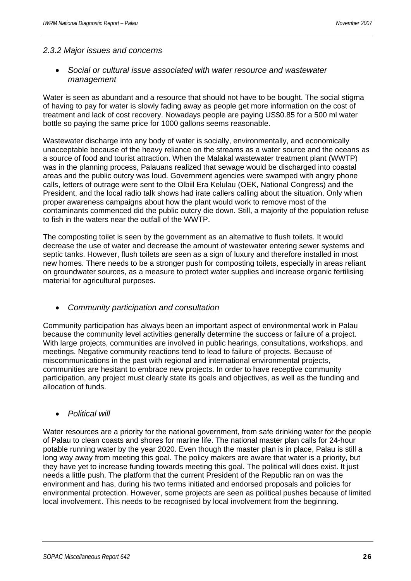#### *2.3.2 Major issues and concerns*

#### • *Social or cultural issue associated with water resource and wastewater management*

Water is seen as abundant and a resource that should not have to be bought. The social stigma of having to pay for water is slowly fading away as people get more information on the cost of treatment and lack of cost recovery. Nowadays people are paying US\$0.85 for a 500 ml water bottle so paying the same price for 1000 gallons seems reasonable.

Wastewater discharge into any body of water is socially, environmentally, and economically unacceptable because of the heavy reliance on the streams as a water source and the oceans as a source of food and tourist attraction. When the Malakal wastewater treatment plant (WWTP) was in the planning process, Palauans realized that sewage would be discharged into coastal areas and the public outcry was loud. Government agencies were swamped with angry phone calls, letters of outrage were sent to the Olbiil Era Kelulau (OEK, National Congress) and the President, and the local radio talk shows had irate callers calling about the situation. Only when proper awareness campaigns about how the plant would work to remove most of the contaminants commenced did the public outcry die down. Still, a majority of the population refuse to fish in the waters near the outfall of the WWTP.

The composting toilet is seen by the government as an alternative to flush toilets. It would decrease the use of water and decrease the amount of wastewater entering sewer systems and septic tanks. However, flush toilets are seen as a sign of luxury and therefore installed in most new homes. There needs to be a stronger push for composting toilets, especially in areas reliant on groundwater sources, as a measure to protect water supplies and increase organic fertilising material for agricultural purposes.

#### • *Community participation and consultation*

Community participation has always been an important aspect of environmental work in Palau because the community level activities generally determine the success or failure of a project. With large projects, communities are involved in public hearings, consultations, workshops, and meetings. Negative community reactions tend to lead to failure of projects. Because of miscommunications in the past with regional and international environmental projects, communities are hesitant to embrace new projects. In order to have receptive community participation, any project must clearly state its goals and objectives, as well as the funding and allocation of funds.

#### • *Political will*

Water resources are a priority for the national government, from safe drinking water for the people of Palau to clean coasts and shores for marine life. The national master plan calls for 24-hour potable running water by the year 2020. Even though the master plan is in place, Palau is still a long way away from meeting this goal. The policy makers are aware that water is a priority, but they have yet to increase funding towards meeting this goal. The political will does exist. It just needs a little push. The platform that the current President of the Republic ran on was the environment and has, during his two terms initiated and endorsed proposals and policies for environmental protection. However, some projects are seen as political pushes because of limited local involvement. This needs to be recognised by local involvement from the beginning.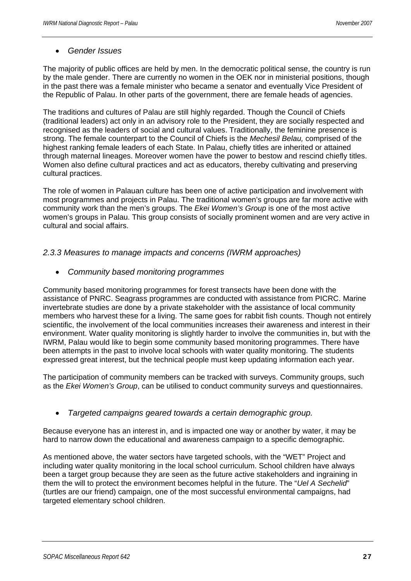#### • *Gender Issues*

The majority of public offices are held by men. In the democratic political sense, the country is run by the male gender. There are currently no women in the OEK nor in ministerial positions, though in the past there was a female minister who became a senator and eventually Vice President of the Republic of Palau. In other parts of the government, there are female heads of agencies.

The traditions and cultures of Palau are still highly regarded. Though the Council of Chiefs (traditional leaders) act only in an advisory role to the President, they are socially respected and recognised as the leaders of social and cultural values. Traditionally, the feminine presence is strong. The female counterpart to the Council of Chiefs is the *Mechesil Belau,* comprised of the highest ranking female leaders of each State. In Palau, chiefly titles are inherited or attained through maternal lineages. Moreover women have the power to bestow and rescind chiefly titles. Women also define cultural practices and act as educators, thereby cultivating and preserving cultural practices.

The role of women in Palauan culture has been one of active participation and involvement with most programmes and projects in Palau. The traditional women's groups are far more active with community work than the men's groups. The *Ekei Women's Group* is one of the most active women's groups in Palau. This group consists of socially prominent women and are very active in cultural and social affairs.

#### *2.3.3 Measures to manage impacts and concerns (IWRM approaches)*

• *Community based monitoring programmes* 

Community based monitoring programmes for forest transects have been done with the assistance of PNRC. Seagrass programmes are conducted with assistance from PICRC. Marine invertebrate studies are done by a private stakeholder with the assistance of local community members who harvest these for a living. The same goes for rabbit fish counts. Though not entirely scientific, the involvement of the local communities increases their awareness and interest in their environment. Water quality monitoring is slightly harder to involve the communities in, but with the IWRM, Palau would like to begin some community based monitoring programmes. There have been attempts in the past to involve local schools with water quality monitoring. The students expressed great interest, but the technical people must keep updating information each year.

The participation of community members can be tracked with surveys. Community groups, such as the *Ekei Women's Group*, can be utilised to conduct community surveys and questionnaires.

# • *Targeted campaigns geared towards a certain demographic group.*

Because everyone has an interest in, and is impacted one way or another by water, it may be hard to narrow down the educational and awareness campaign to a specific demographic.

As mentioned above, the water sectors have targeted schools, with the "WET" Project and including water quality monitoring in the local school curriculum. School children have always been a target group because they are seen as the future active stakeholders and ingraining in them the will to protect the environment becomes helpful in the future. The "*Uel A Sechelid*" (turtles are our friend) campaign, one of the most successful environmental campaigns, had targeted elementary school children.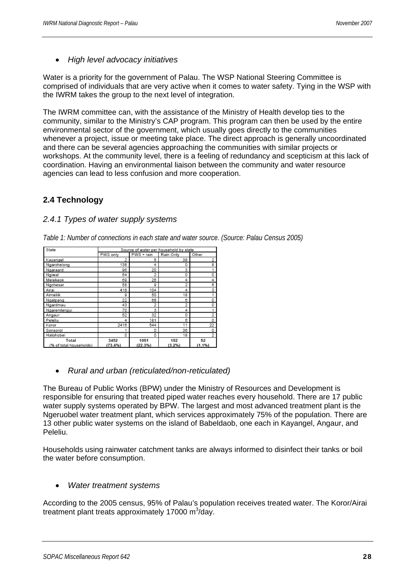• *High level advocacy initiatives* 

Water is a priority for the government of Palau. The WSP National Steering Committee is comprised of individuals that are very active when it comes to water safety. Tying in the WSP with the IWRM takes the group to the next level of integration.

The IWRM committee can, with the assistance of the Ministry of Health develop ties to the community, similar to the Ministry's CAP program. This program can then be used by the entire environmental sector of the government, which usually goes directly to the communities whenever a project, issue or meeting take place. The direct approach is generally uncoordinated and there can be several agencies approaching the communities with similar projects or workshops. At the community level, there is a feeling of redundancy and scepticism at this lack of coordination. Having an environmental liaison between the community and water resource agencies can lead to less confusion and more cooperation.

# **2.4 Technology**

#### *2.4.1 Types of water supply systems*

| State                           | Source of water per household by state |                 |               |                |  |  |  |  |  |
|---------------------------------|----------------------------------------|-----------------|---------------|----------------|--|--|--|--|--|
|                                 | PWS only                               | PWS + rain      | Rain Only     | Other          |  |  |  |  |  |
| Kayangel                        | 2                                      | 6               | 38            | 2              |  |  |  |  |  |
| Ngarchelong                     | 138                                    | 4               | 0             | 8              |  |  |  |  |  |
| Ngaraard                        | 96                                     | 20              | 3             | 1              |  |  |  |  |  |
| Ngiwal                          | 54                                     | $\overline{2}$  | 0             | 0              |  |  |  |  |  |
| Melekeok                        | 69                                     | 26              | 4             | 4              |  |  |  |  |  |
| Ngchesar                        | 58                                     | 9               | 2             | 6              |  |  |  |  |  |
| Airai                           | 418                                    | 104             | 4             | 3              |  |  |  |  |  |
| Aimeliik                        | 9                                      | 50              | 18            | 1              |  |  |  |  |  |
| Ngatpang                        | 22                                     | 68              | 6             | 0              |  |  |  |  |  |
| Ngardmau                        | 43                                     | 2               | 2             | o              |  |  |  |  |  |
| Ngaremlengui                    | 70                                     | 3               | 4             | 1              |  |  |  |  |  |
| Angaur                          | 52                                     | 32              | 0             | 2              |  |  |  |  |  |
| Peleliu                         | 4                                      | 181             | 6             | 0              |  |  |  |  |  |
| Koror                           | 2416                                   | 544             | 11            | 22             |  |  |  |  |  |
| Sonsorol                        | ł                                      | 0               | 36            | 0              |  |  |  |  |  |
| Hatohobei                       | 0                                      | 0               | 18            | $\overline{2}$ |  |  |  |  |  |
| Total<br>% of total households) | 3452<br>$(73.4\%)$                     | 1051<br>(22.3%) | 152<br>(3.2%) | 52<br>(1.1%)   |  |  |  |  |  |

*Table 1: Number of connections in each state and water source. (Source: Palau Census 2005)* 

• *Rural and urban (reticulated/non-reticulated)* 

The Bureau of Public Works (BPW) under the Ministry of Resources and Development is responsible for ensuring that treated piped water reaches every household. There are 17 public water supply systems operated by BPW. The largest and most advanced treatment plant is the Ngeruobel water treatment plant, which services approximately 75% of the population. There are 13 other public water systems on the island of Babeldaob, one each in Kayangel, Angaur, and Peleliu.

Households using rainwater catchment tanks are always informed to disinfect their tanks or boil the water before consumption.

#### • *Water treatment systems*

According to the 2005 census, 95% of Palau's population receives treated water. The Koror/Airai treatment plant treats approximately 17000 m<sup>3</sup>/day.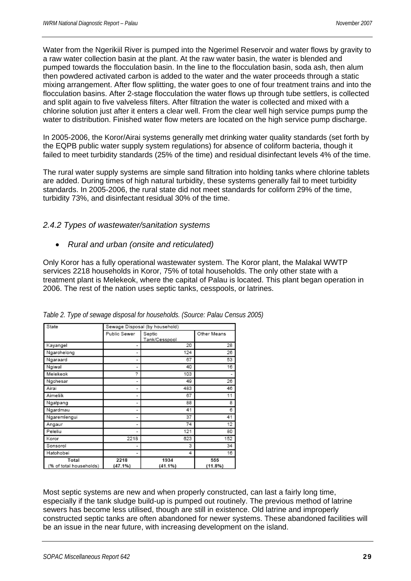Water from the Ngerikiil River is pumped into the Ngerimel Reservoir and water flows by gravity to a raw water collection basin at the plant. At the raw water basin, the water is blended and pumped towards the flocculation basin. In the line to the flocculation basin, soda ash, then alum then powdered activated carbon is added to the water and the water proceeds through a static mixing arrangement. After flow splitting, the water goes to one of four treatment trains and into the flocculation basins. After 2-stage flocculation the water flows up through tube settlers, is collected and split again to five valveless filters. After filtration the water is collected and mixed with a chlorine solution just after it enters a clear well. From the clear well high service pumps pump the water to distribution. Finished water flow meters are located on the high service pump discharge.

In 2005-2006, the Koror/Airai systems generally met drinking water quality standards (set forth by the EQPB public water supply system regulations) for absence of coliform bacteria, though it failed to meet turbidity standards (25% of the time) and residual disinfectant levels 4% of the time.

The rural water supply systems are simple sand filtration into holding tanks where chlorine tablets are added. During times of high natural turbidity, these systems generally fail to meet turbidity standards. In 2005-2006, the rural state did not meet standards for coliform 29% of the time, turbidity 73%, and disinfectant residual 30% of the time.

#### *2.4.2 Types of wastewater/sanitation systems*

• *Rural and urban (onsite and reticulated)* 

Only Koror has a fully operational wastewater system. The Koror plant, the Malakal WWTP services 2218 households in Koror, 75% of total households. The only other state with a treatment plant is Melekeok, where the capital of Palau is located. This plant began operation in 2006. The rest of the nation uses septic tanks, cesspools, or latrines.

| State                           | Sewage Disposal (by household) |                         |                   |  |  |  |
|---------------------------------|--------------------------------|-------------------------|-------------------|--|--|--|
|                                 | Public Sewer                   | Septic<br>Tank/Cesspool | Other Means       |  |  |  |
| Kayangel                        | ۰                              | 20                      | 28                |  |  |  |
| Ngarchelong                     | ۰                              | 124                     | 26                |  |  |  |
| Ngaraard                        | ۰                              | 67                      | 53                |  |  |  |
| Ngiwal                          | ٠                              | 40                      | 16                |  |  |  |
| Melekeok                        | ?                              | 103                     |                   |  |  |  |
| Ngchesar                        | ۰                              | 49                      | 26                |  |  |  |
| Airai                           | ۰                              | 483                     | 46                |  |  |  |
| Aimeliik                        | ۰                              | 67                      | 11                |  |  |  |
| Ngatpang                        | ۰                              | 88                      | 8                 |  |  |  |
| Ngardmau                        | ۰                              | 41                      | 6                 |  |  |  |
| Ngaremlengui                    | ۰                              | 37                      | 41                |  |  |  |
| Angaur                          | ۰                              | 74                      | 12                |  |  |  |
| Peleliu                         | ٠                              | 121                     | 80                |  |  |  |
| Koror                           | 2218                           | 623                     | 152               |  |  |  |
| Sonsorol                        | ۰                              | 3                       | 34                |  |  |  |
| Hatohobei                       | ۰                              | 4                       | 16                |  |  |  |
| Total<br>% of total households) | 2218<br>(47.1%)                | 1934<br>(41.1%)         | 555<br>$(11.8\%)$ |  |  |  |

*Table 2. Type of sewage disposal for households. (Source: Palau Census 2005)* 

Most septic systems are new and when properly constructed, can last a fairly long time, especially if the tank sludge build-up is pumped out routinely. The previous method of latrine sewers has become less utilised, though are still in existence. Old latrine and improperly constructed septic tanks are often abandoned for newer systems. These abandoned facilities will be an issue in the near future, with increasing development on the island.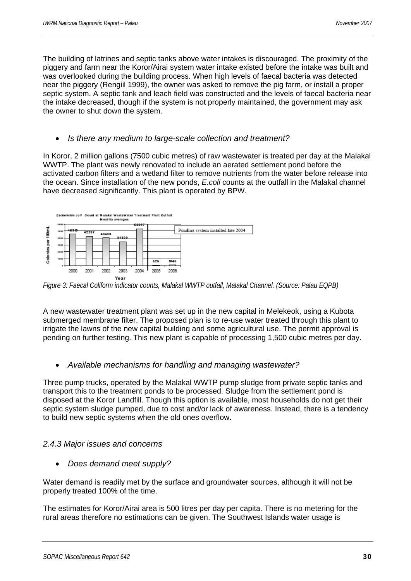The building of latrines and septic tanks above water intakes is discouraged. The proximity of the piggery and farm near the Koror/Airai system water intake existed before the intake was built and was overlooked during the building process. When high levels of faecal bacteria was detected near the piggery (Rengiil 1999), the owner was asked to remove the pig farm, or install a proper septic system. A septic tank and leach field was constructed and the levels of faecal bacteria near the intake decreased, though if the system is not properly maintained, the government may ask the owner to shut down the system.

#### • *Is there any medium to large-scale collection and treatment?*

In Koror, 2 million gallons (7500 cubic metres) of raw wastewater is treated per day at the Malakal WWTP. The plant was newly renovated to include an aerated settlement pond before the activated carbon filters and a wetland filter to remove nutrients from the water before release into the ocean. Since installation of the new ponds, *E.coli* counts at the outfall in the Malakal channel have decreased significantly. This plant is operated by BPW.



*Figure 3: Faecal Coliform indicator counts, Malakal WWTP outfall, Malakal Channel. (Source: Palau EQPB)* 

A new wastewater treatment plant was set up in the new capital in Melekeok, using a Kubota submerged membrane filter. The proposed plan is to re-use water treated through this plant to irrigate the lawns of the new capital building and some agricultural use. The permit approval is pending on further testing. This new plant is capable of processing 1,500 cubic metres per day.

#### • *Available mechanisms for handling and managing wastewater?*

Three pump trucks, operated by the Malakal WWTP pump sludge from private septic tanks and transport this to the treatment ponds to be processed. Sludge from the settlement pond is disposed at the Koror Landfill. Though this option is available, most households do not get their septic system sludge pumped, due to cost and/or lack of awareness. Instead, there is a tendency to build new septic systems when the old ones overflow.

#### *2.4.3 Major issues and concerns*

• *Does demand meet supply?* 

Water demand is readily met by the surface and groundwater sources, although it will not be properly treated 100% of the time.

The estimates for Koror/Airai area is 500 litres per day per capita. There is no metering for the rural areas therefore no estimations can be given. The Southwest Islands water usage is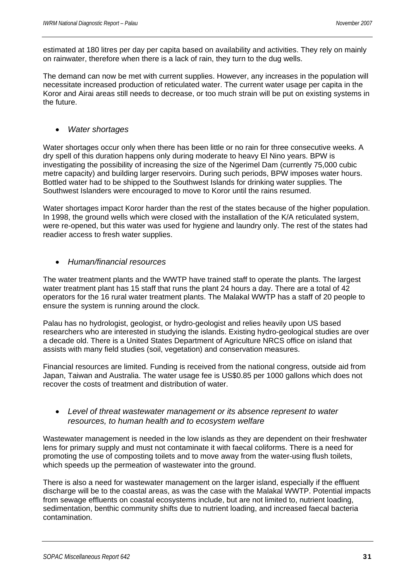estimated at 180 litres per day per capita based on availability and activities. They rely on mainly on rainwater, therefore when there is a lack of rain, they turn to the dug wells.

The demand can now be met with current supplies. However, any increases in the population will necessitate increased production of reticulated water. The current water usage per capita in the Koror and Airai areas still needs to decrease, or too much strain will be put on existing systems in the future.

#### • *Water shortages*

Water shortages occur only when there has been little or no rain for three consecutive weeks. A dry spell of this duration happens only during moderate to heavy El Nino years. BPW is investigating the possibility of increasing the size of the Ngerimel Dam (currently 75,000 cubic metre capacity) and building larger reservoirs. During such periods, BPW imposes water hours. Bottled water had to be shipped to the Southwest Islands for drinking water supplies. The Southwest Islanders were encouraged to move to Koror until the rains resumed.

Water shortages impact Koror harder than the rest of the states because of the higher population. In 1998, the ground wells which were closed with the installation of the K/A reticulated system, were re-opened, but this water was used for hygiene and laundry only. The rest of the states had readier access to fresh water supplies.

#### • *Human/financial resources*

The water treatment plants and the WWTP have trained staff to operate the plants. The largest water treatment plant has 15 staff that runs the plant 24 hours a day. There are a total of 42 operators for the 16 rural water treatment plants. The Malakal WWTP has a staff of 20 people to ensure the system is running around the clock.

Palau has no hydrologist, geologist, or hydro-geologist and relies heavily upon US based researchers who are interested in studying the islands. Existing hydro-geological studies are over a decade old. There is a United States Department of Agriculture NRCS office on island that assists with many field studies (soil, vegetation) and conservation measures.

Financial resources are limited. Funding is received from the national congress, outside aid from Japan, Taiwan and Australia. The water usage fee is US\$0.85 per 1000 gallons which does not recover the costs of treatment and distribution of water.

#### • *Level of threat wastewater management or its absence represent to water resources, to human health and to ecosystem welfare*

Wastewater management is needed in the low islands as they are dependent on their freshwater lens for primary supply and must not contaminate it with faecal coliforms. There is a need for promoting the use of composting toilets and to move away from the water-using flush toilets, which speeds up the permeation of wastewater into the ground.

There is also a need for wastewater management on the larger island, especially if the effluent discharge will be to the coastal areas, as was the case with the Malakal WWTP. Potential impacts from sewage effluents on coastal ecosystems include, but are not limited to, nutrient loading, sedimentation, benthic community shifts due to nutrient loading, and increased faecal bacteria contamination.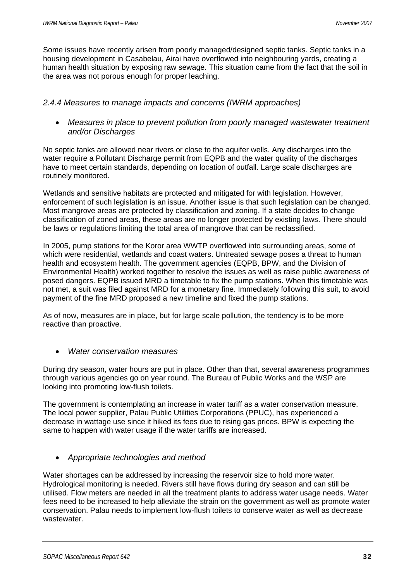Some issues have recently arisen from poorly managed/designed septic tanks. Septic tanks in a housing development in Casabelau, Airai have overflowed into neighbouring yards, creating a human health situation by exposing raw sewage. This situation came from the fact that the soil in the area was not porous enough for proper leaching.

#### *2.4.4 Measures to manage impacts and concerns (IWRM approaches)*

• *Measures in place to prevent pollution from poorly managed wastewater treatment and/or Discharges* 

No septic tanks are allowed near rivers or close to the aquifer wells. Any discharges into the water require a Pollutant Discharge permit from EQPB and the water quality of the discharges have to meet certain standards, depending on location of outfall. Large scale discharges are routinely monitored.

Wetlands and sensitive habitats are protected and mitigated for with legislation. However, enforcement of such legislation is an issue. Another issue is that such legislation can be changed. Most mangrove areas are protected by classification and zoning. If a state decides to change classification of zoned areas, these areas are no longer protected by existing laws. There should be laws or regulations limiting the total area of mangrove that can be reclassified.

In 2005, pump stations for the Koror area WWTP overflowed into surrounding areas, some of which were residential, wetlands and coast waters. Untreated sewage poses a threat to human health and ecosystem health. The government agencies (EQPB, BPW, and the Division of Environmental Health) worked together to resolve the issues as well as raise public awareness of posed dangers. EQPB issued MRD a timetable to fix the pump stations. When this timetable was not met, a suit was filed against MRD for a monetary fine. Immediately following this suit, to avoid payment of the fine MRD proposed a new timeline and fixed the pump stations.

As of now, measures are in place, but for large scale pollution, the tendency is to be more reactive than proactive.

• *Water conservation measures* 

During dry season, water hours are put in place. Other than that, several awareness programmes through various agencies go on year round. The Bureau of Public Works and the WSP are looking into promoting low-flush toilets.

The government is contemplating an increase in water tariff as a water conservation measure. The local power supplier, Palau Public Utilities Corporations (PPUC), has experienced a decrease in wattage use since it hiked its fees due to rising gas prices. BPW is expecting the same to happen with water usage if the water tariffs are increased.

# • *Appropriate technologies and method*

Water shortages can be addressed by increasing the reservoir size to hold more water. Hydrological monitoring is needed. Rivers still have flows during dry season and can still be utilised. Flow meters are needed in all the treatment plants to address water usage needs. Water fees need to be increased to help alleviate the strain on the government as well as promote water conservation. Palau needs to implement low-flush toilets to conserve water as well as decrease wastewater.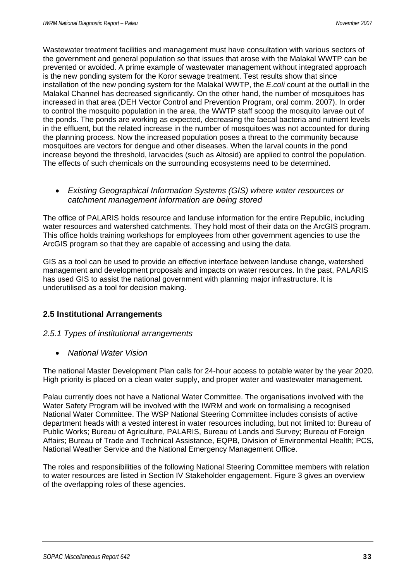Wastewater treatment facilities and management must have consultation with various sectors of the government and general population so that issues that arose with the Malakal WWTP can be prevented or avoided. A prime example of wastewater management without integrated approach is the new ponding system for the Koror sewage treatment. Test results show that since installation of the new ponding system for the Malakal WWTP, the *E*.*coli* count at the outfall in the Malakal Channel has decreased significantly. On the other hand, the number of mosquitoes has increased in that area (DEH Vector Control and Prevention Program, oral comm. 2007). In order to control the mosquito population in the area, the WWTP staff scoop the mosquito larvae out of the ponds. The ponds are working as expected, decreasing the faecal bacteria and nutrient levels in the effluent, but the related increase in the number of mosquitoes was not accounted for during the planning process. Now the increased population poses a threat to the community because mosquitoes are vectors for dengue and other diseases. When the larval counts in the pond increase beyond the threshold, larvacides (such as Altosid) are applied to control the population. The effects of such chemicals on the surrounding ecosystems need to be determined.

#### • *Existing Geographical Information Systems (GIS) where water resources or catchment management information are being stored*

The office of PALARIS holds resource and landuse information for the entire Republic, including water resources and watershed catchments. They hold most of their data on the ArcGIS program. This office holds training workshops for employees from other government agencies to use the ArcGIS program so that they are capable of accessing and using the data.

GIS as a tool can be used to provide an effective interface between landuse change, watershed management and development proposals and impacts on water resources. In the past, PALARIS has used GIS to assist the national government with planning major infrastructure. It is underutilised as a tool for decision making.

# **2.5 Institutional Arrangements**

#### *2.5.1 Types of institutional arrangements*

• *National Water Vision* 

The national Master Development Plan calls for 24-hour access to potable water by the year 2020. High priority is placed on a clean water supply, and proper water and wastewater management.

Palau currently does not have a National Water Committee. The organisations involved with the Water Safety Program will be involved with the IWRM and work on formalising a recognised National Water Committee. The WSP National Steering Committee includes consists of active department heads with a vested interest in water resources including, but not limited to: Bureau of Public Works; Bureau of Agriculture, PALARIS, Bureau of Lands and Survey; Bureau of Foreign Affairs; Bureau of Trade and Technical Assistance, EQPB, Division of Environmental Health; PCS, National Weather Service and the National Emergency Management Office.

The roles and responsibilities of the following National Steering Committee members with relation to water resources are listed in Section IV Stakeholder engagement. Figure 3 gives an overview of the overlapping roles of these agencies.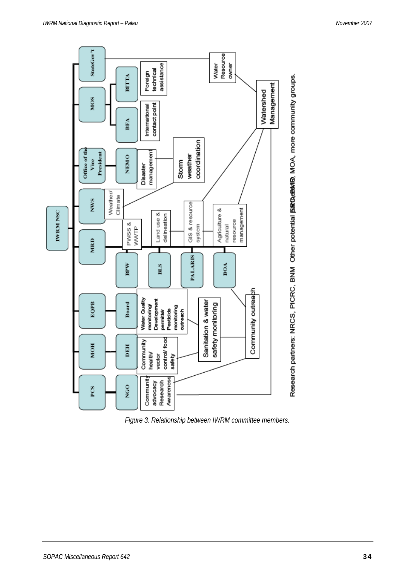

*Figure 3. Relationship between IWRM committee members.*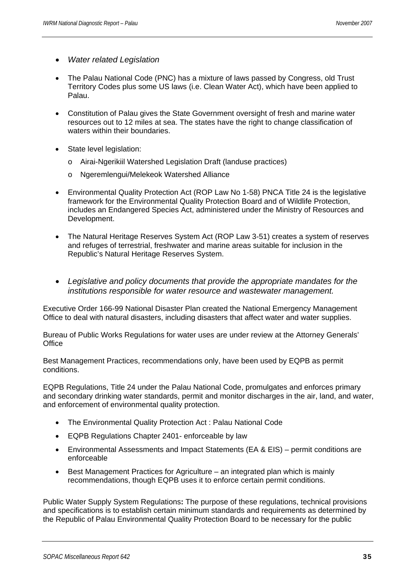- *Water related Legislation*
- The Palau National Code (PNC) has a mixture of laws passed by Congress, old Trust Territory Codes plus some US laws (i.e. Clean Water Act), which have been applied to Palau.
- Constitution of Palau gives the State Government oversight of fresh and marine water resources out to 12 miles at sea. The states have the right to change classification of waters within their boundaries.
- State level legislation:
	- o Airai-Ngerikiil Watershed Legislation Draft (landuse practices)
	- o Ngeremlengui/Melekeok Watershed Alliance
- Environmental Quality Protection Act (ROP Law No 1-58) PNCA Title 24 is the legislative framework for the Environmental Quality Protection Board and of Wildlife Protection, includes an Endangered Species Act, administered under the Ministry of Resources and Development.
- The Natural Heritage Reserves System Act (ROP Law 3-51) creates a system of reserves and refuges of terrestrial, freshwater and marine areas suitable for inclusion in the Republic's Natural Heritage Reserves System.
- *Legislative and policy documents that provide the appropriate mandates for the institutions responsible for water resource and wastewater management.*

Executive Order 166-99 National Disaster Plan created the National Emergency Management Office to deal with natural disasters, including disasters that affect water and water supplies.

Bureau of Public Works Regulations for water uses are under review at the Attorney Generals' **Office** 

Best Management Practices, recommendations only, have been used by EQPB as permit conditions.

EQPB Regulations, Title 24 under the Palau National Code, promulgates and enforces primary and secondary drinking water standards, permit and monitor discharges in the air, land, and water, and enforcement of environmental quality protection.

- The Environmental Quality Protection Act : Palau National Code
- EQPB Regulations Chapter 2401- enforceable by law
- Environmental Assessments and Impact Statements (EA & EIS) permit conditions are enforceable
- Best Management Practices for Agriculture an integrated plan which is mainly recommendations, though EQPB uses it to enforce certain permit conditions.

Public Water Supply System Regulations**:** The purpose of these regulations, technical provisions and specifications is to establish certain minimum standards and requirements as determined by the Republic of Palau Environmental Quality Protection Board to be necessary for the public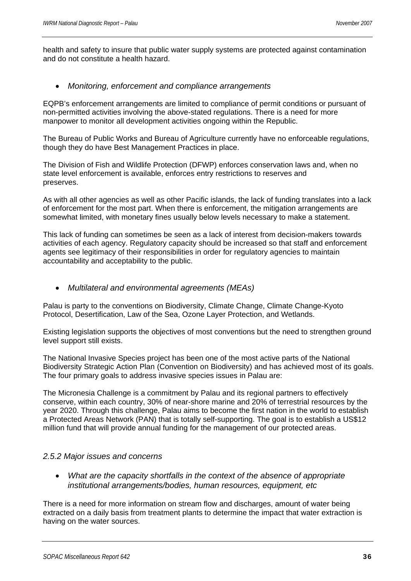health and safety to insure that public water supply systems are protected against contamination and do not constitute a health hazard.

#### • *Monitoring, enforcement and compliance arrangements*

EQPB's enforcement arrangements are limited to compliance of permit conditions or pursuant of non-permitted activities involving the above-stated regulations. There is a need for more manpower to monitor all development activities ongoing within the Republic.

The Bureau of Public Works and Bureau of Agriculture currently have no enforceable regulations, though they do have Best Management Practices in place.

The Division of Fish and Wildlife Protection (DFWP) enforces conservation laws and, when no state level enforcement is available, enforces entry restrictions to reserves and preserves.

As with all other agencies as well as other Pacific islands, the lack of funding translates into a lack of enforcement for the most part. When there is enforcement, the mitigation arrangements are somewhat limited, with monetary fines usually below levels necessary to make a statement.

This lack of funding can sometimes be seen as a lack of interest from decision-makers towards activities of each agency. Regulatory capacity should be increased so that staff and enforcement agents see legitimacy of their responsibilities in order for regulatory agencies to maintain accountability and acceptability to the public.

#### • *Multilateral and environmental agreements (MEAs)*

Palau is party to the conventions on Biodiversity, Climate Change, Climate Change-Kyoto Protocol, Desertification, Law of the Sea, Ozone Layer Protection, and Wetlands.

Existing legislation supports the objectives of most conventions but the need to strengthen ground level support still exists.

The National Invasive Species project has been one of the most active parts of the National Biodiversity Strategic Action Plan (Convention on Biodiversity) and has achieved most of its goals. The four primary goals to address invasive species issues in Palau are:

The Micronesia Challenge is a commitment by Palau and its regional partners to effectively conserve, within each country, 30% of near-shore marine and 20% of terrestrial resources by the year 2020. Through this challenge, Palau aims to become the first nation in the world to establish a Protected Areas Network (PAN) that is totally self-supporting. The goal is to establish a US\$12 million fund that will provide annual funding for the management of our protected areas.

#### *2.5.2 Major issues and concerns*

• *What are the capacity shortfalls in the context of the absence of appropriate institutional arrangements/bodies, human resources, equipment, etc* 

There is a need for more information on stream flow and discharges, amount of water being extracted on a daily basis from treatment plants to determine the impact that water extraction is having on the water sources.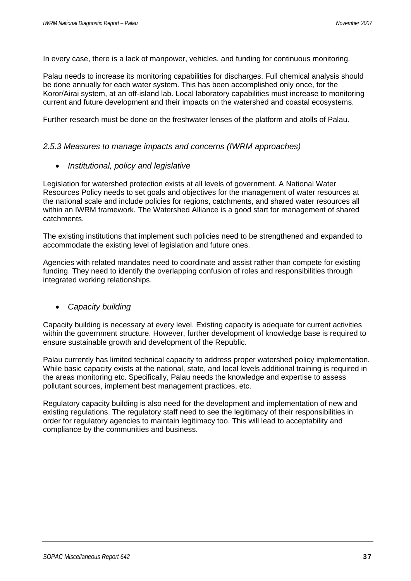In every case, there is a lack of manpower, vehicles, and funding for continuous monitoring.

Palau needs to increase its monitoring capabilities for discharges. Full chemical analysis should be done annually for each water system. This has been accomplished only once, for the Koror/Airai system, at an off-island lab. Local laboratory capabilities must increase to monitoring current and future development and their impacts on the watershed and coastal ecosystems.

Further research must be done on the freshwater lenses of the platform and atolls of Palau.

#### *2.5.3 Measures to manage impacts and concerns (IWRM approaches)*

• *Institutional, policy and legislative* 

Legislation for watershed protection exists at all levels of government. A National Water Resources Policy needs to set goals and objectives for the management of water resources at the national scale and include policies for regions, catchments, and shared water resources all within an IWRM framework. The Watershed Alliance is a good start for management of shared catchments.

The existing institutions that implement such policies need to be strengthened and expanded to accommodate the existing level of legislation and future ones.

Agencies with related mandates need to coordinate and assist rather than compete for existing funding. They need to identify the overlapping confusion of roles and responsibilities through integrated working relationships.

#### • *Capacity building*

Capacity building is necessary at every level. Existing capacity is adequate for current activities within the government structure. However, further development of knowledge base is required to ensure sustainable growth and development of the Republic.

Palau currently has limited technical capacity to address proper watershed policy implementation. While basic capacity exists at the national, state, and local levels additional training is required in the areas monitoring etc. Specifically, Palau needs the knowledge and expertise to assess pollutant sources, implement best management practices, etc.

Regulatory capacity building is also need for the development and implementation of new and existing regulations. The regulatory staff need to see the legitimacy of their responsibilities in order for regulatory agencies to maintain legitimacy too. This will lead to acceptability and compliance by the communities and business.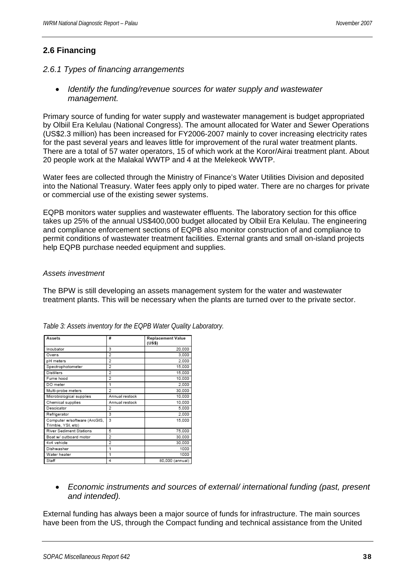# **2.6 Financing**

#### *2.6.1 Types of financing arrangements*

• *Identify the funding/revenue sources for water supply and wastewater management.* 

Primary source of funding for water supply and wastewater management is budget appropriated by Olbiil Era Kelulau (National Congress). The amount allocated for Water and Sewer Operations (US\$2.3 million) has been increased for FY2006-2007 mainly to cover increasing electricity rates for the past several years and leaves little for improvement of the rural water treatment plants. There are a total of 57 water operators, 15 of which work at the Koror/Airai treatment plant. About 20 people work at the Malakal WWTP and 4 at the Melekeok WWTP.

Water fees are collected through the Ministry of Finance's Water Utilities Division and deposited into the National Treasury. Water fees apply only to piped water. There are no charges for private or commercial use of the existing sewer systems.

EQPB monitors water supplies and wastewater effluents. The laboratory section for this office takes up 25% of the annual US\$400,000 budget allocated by Olbiil Era Kelulau. The engineering and compliance enforcement sections of EQPB also monitor construction of and compliance to permit conditions of wastewater treatment facilities. External grants and small on-island projects help EQPB purchase needed equipment and supplies.

#### *Assets investment*

The BPW is still developing an assets management system for the water and wastewater treatment plants. This will be necessary when the plants are turned over to the private sector.

| Assets                                             | #              | <b>Replacement Value</b><br>(US\$) |
|----------------------------------------------------|----------------|------------------------------------|
| Incubator                                          | 3              | 20.000                             |
| Ovens                                              | 2              | 3.000                              |
| pH meters                                          | 2              | 2.000                              |
| Spectrophotometer                                  | 2              | 15,000                             |
| Distillers                                         | 2              | 15.000                             |
| Fume hood                                          | 2              | 10,000                             |
| DO meter                                           | 1              | 2.000                              |
| Multi-probe meters                                 | $\overline{2}$ | 30.000                             |
| Microbiological supplies                           | Annual restock | 10,000                             |
| Chemical supplies                                  | Annual restock | 10.000                             |
| Descicator                                         | $\overline{2}$ | 5.000                              |
| Refrigerator                                       | 3              | 2.000                              |
| Computer w/software (ArcGIS,<br>Trimble, YSI, etc) | 3              | 15.000                             |
| River Sediment Stations                            | 5              | 75,000                             |
| Boat w/ outboard motor                             | 2              | 30.000                             |
| 4x4 vehicle                                        | $\overline{2}$ | 30.000                             |
| Dishwasher                                         | 1              | 1000                               |
| Water heater                                       | 1              | 1000                               |
| Staff                                              | 4              | 80,000 (annual)                    |

*Table 3: Assets inventory for the EQPB Water Quality Laboratory.* 

• *Economic instruments and sources of external/ international funding (past, present and intended).* 

External funding has always been a major source of funds for infrastructure. The main sources have been from the US, through the Compact funding and technical assistance from the United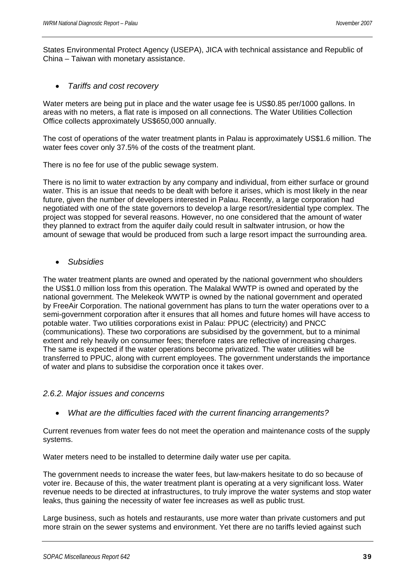States Environmental Protect Agency (USEPA), JICA with technical assistance and Republic of China – Taiwan with monetary assistance.

• *Tariffs and cost recovery* 

Water meters are being put in place and the water usage fee is US\$0.85 per/1000 gallons. In areas with no meters, a flat rate is imposed on all connections. The Water Utilities Collection Office collects approximately US\$650,000 annually.

The cost of operations of the water treatment plants in Palau is approximately US\$1.6 million. The water fees cover only 37.5% of the costs of the treatment plant.

There is no fee for use of the public sewage system.

There is no limit to water extraction by any company and individual, from either surface or ground water. This is an issue that needs to be dealt with before it arises, which is most likely in the near future, given the number of developers interested in Palau. Recently, a large corporation had negotiated with one of the state governors to develop a large resort/residential type complex. The project was stopped for several reasons. However, no one considered that the amount of water they planned to extract from the aquifer daily could result in saltwater intrusion, or how the amount of sewage that would be produced from such a large resort impact the surrounding area.

• *Subsidies* 

The water treatment plants are owned and operated by the national government who shoulders the US\$1.0 million loss from this operation. The Malakal WWTP is owned and operated by the national government. The Melekeok WWTP is owned by the national government and operated by FreeAir Corporation. The national government has plans to turn the water operations over to a semi-government corporation after it ensures that all homes and future homes will have access to potable water. Two utilities corporations exist in Palau: PPUC (electricity) and PNCC (communications). These two corporations are subsidised by the government, but to a minimal extent and rely heavily on consumer fees; therefore rates are reflective of increasing charges. The same is expected if the water operations become privatized. The water utilities will be transferred to PPUC, along with current employees. The government understands the importance of water and plans to subsidise the corporation once it takes over.

#### *2.6.2. Major issues and concerns*

• *What are the difficulties faced with the current financing arrangements?* 

Current revenues from water fees do not meet the operation and maintenance costs of the supply systems.

Water meters need to be installed to determine daily water use per capita.

The government needs to increase the water fees, but law-makers hesitate to do so because of voter ire. Because of this, the water treatment plant is operating at a very significant loss. Water revenue needs to be directed at infrastructures, to truly improve the water systems and stop water leaks, thus gaining the necessity of water fee increases as well as public trust.

Large business, such as hotels and restaurants, use more water than private customers and put more strain on the sewer systems and environment. Yet there are no tariffs levied against such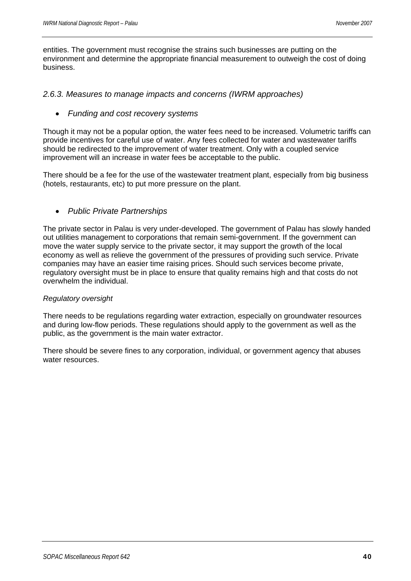entities. The government must recognise the strains such businesses are putting on the environment and determine the appropriate financial measurement to outweigh the cost of doing business.

#### *2.6.3. Measures to manage impacts and concerns (IWRM approaches)*

#### • *Funding and cost recovery systems*

Though it may not be a popular option, the water fees need to be increased. Volumetric tariffs can provide incentives for careful use of water. Any fees collected for water and wastewater tariffs should be redirected to the improvement of water treatment. Only with a coupled service improvement will an increase in water fees be acceptable to the public.

There should be a fee for the use of the wastewater treatment plant, especially from big business (hotels, restaurants, etc) to put more pressure on the plant.

#### • *Public Private Partnerships*

The private sector in Palau is very under-developed. The government of Palau has slowly handed out utilities management to corporations that remain semi-government. If the government can move the water supply service to the private sector, it may support the growth of the local economy as well as relieve the government of the pressures of providing such service. Private companies may have an easier time raising prices. Should such services become private, regulatory oversight must be in place to ensure that quality remains high and that costs do not overwhelm the individual.

#### *Regulatory oversight*

There needs to be regulations regarding water extraction, especially on groundwater resources and during low-flow periods. These regulations should apply to the government as well as the public, as the government is the main water extractor.

There should be severe fines to any corporation, individual, or government agency that abuses water resources.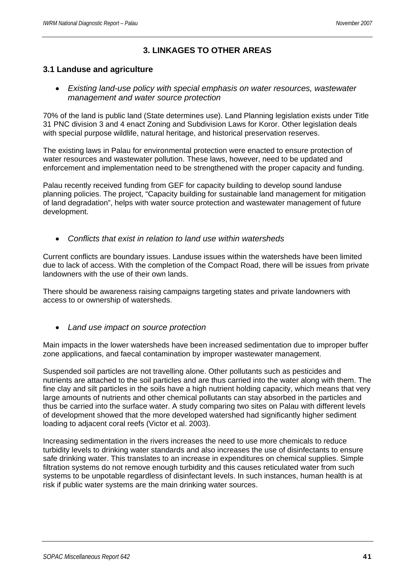# **3. LINKAGES TO OTHER AREAS**

### **3.1 Landuse and agriculture**

• *Existing land-use policy with special emphasis on water resources, wastewater management and water source protection* 

70% of the land is public land (State determines use). Land Planning legislation exists under Title 31 PNC division 3 and 4 enact Zoning and Subdivision Laws for Koror. Other legislation deals with special purpose wildlife, natural heritage, and historical preservation reserves.

The existing laws in Palau for environmental protection were enacted to ensure protection of water resources and wastewater pollution. These laws, however, need to be updated and enforcement and implementation need to be strengthened with the proper capacity and funding.

Palau recently received funding from GEF for capacity building to develop sound landuse planning policies. The project, "Capacity building for sustainable land management for mitigation of land degradation", helps with water source protection and wastewater management of future development.

• *Conflicts that exist in relation to land use within watersheds* 

Current conflicts are boundary issues. Landuse issues within the watersheds have been limited due to lack of access. With the completion of the Compact Road, there will be issues from private landowners with the use of their own lands.

There should be awareness raising campaigns targeting states and private landowners with access to or ownership of watersheds.

• *Land use impact on source protection* 

Main impacts in the lower watersheds have been increased sedimentation due to improper buffer zone applications, and faecal contamination by improper wastewater management.

Suspended soil particles are not travelling alone. Other pollutants such as pesticides and nutrients are attached to the soil particles and are thus carried into the water along with them. The fine clay and silt particles in the soils have a high nutrient holding capacity, which means that very large amounts of nutrients and other chemical pollutants can stay absorbed in the particles and thus be carried into the surface water. A study comparing two sites on Palau with different levels of development showed that the more developed watershed had significantly higher sediment loading to adjacent coral reefs (Victor et al. 2003).

Increasing sedimentation in the rivers increases the need to use more chemicals to reduce turbidity levels to drinking water standards and also increases the use of disinfectants to ensure safe drinking water. This translates to an increase in expenditures on chemical supplies. Simple filtration systems do not remove enough turbidity and this causes reticulated water from such systems to be unpotable regardless of disinfectant levels. In such instances, human health is at risk if public water systems are the main drinking water sources.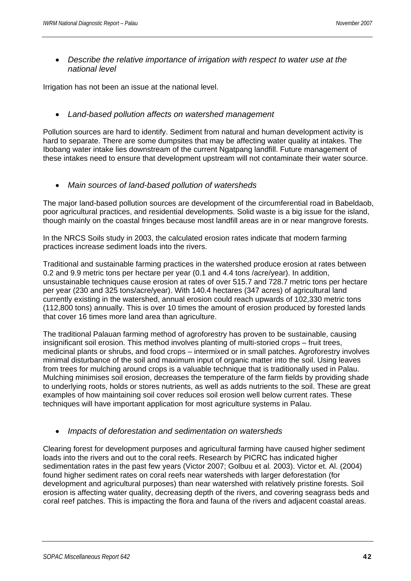• *Describe the relative importance of irrigation with respect to water use at the national level* 

Irrigation has not been an issue at the national level.

#### • *Land-based pollution affects on watershed management*

Pollution sources are hard to identify. Sediment from natural and human development activity is hard to separate. There are some dumpsites that may be affecting water quality at intakes. The Ibobang water intake lies downstream of the current Ngatpang landfill. Future management of these intakes need to ensure that development upstream will not contaminate their water source.

• *Main sources of land-based pollution of watersheds* 

The major land-based pollution sources are development of the circumferential road in Babeldaob, poor agricultural practices, and residential developments. Solid waste is a big issue for the island, though mainly on the coastal fringes because most landfill areas are in or near mangrove forests.

In the NRCS Soils study in 2003, the calculated erosion rates indicate that modern farming practices increase sediment loads into the rivers.

Traditional and sustainable farming practices in the watershed produce erosion at rates between 0.2 and 9.9 metric tons per hectare per year (0.1 and 4.4 tons /acre/year). In addition, unsustainable techniques cause erosion at rates of over 515.7 and 728.7 metric tons per hectare per year (230 and 325 tons/acre/year). With 140.4 hectares (347 acres) of agricultural land currently existing in the watershed, annual erosion could reach upwards of 102,330 metric tons (112,800 tons) annually. This is over 10 times the amount of erosion produced by forested lands that cover 16 times more land area than agriculture.

The traditional Palauan farming method of agroforestry has proven to be sustainable, causing insignificant soil erosion. This method involves planting of multi-storied crops – fruit trees, medicinal plants or shrubs, and food crops – intermixed or in small patches. Agroforestry involves minimal disturbance of the soil and maximum input of organic matter into the soil. Using leaves from trees for mulching around crops is a valuable technique that is traditionally used in Palau. Mulching minimises soil erosion, decreases the temperature of the farm fields by providing shade to underlying roots, holds or stores nutrients, as well as adds nutrients to the soil. These are great examples of how maintaining soil cover reduces soil erosion well below current rates. These techniques will have important application for most agriculture systems in Palau.

#### • *Impacts of deforestation and sedimentation on watersheds*

Clearing forest for development purposes and agricultural farming have caused higher sediment loads into the rivers and out to the coral reefs. Research by PICRC has indicated higher sedimentation rates in the past few years (Victor 2007; Golbuu et al*.* 2003). Victor et. Al. (2004) found higher sediment rates on coral reefs near watersheds with larger deforestation (for development and agricultural purposes) than near watershed with relatively pristine forests. Soil erosion is affecting water quality, decreasing depth of the rivers, and covering seagrass beds and coral reef patches. This is impacting the flora and fauna of the rivers and adjacent coastal areas.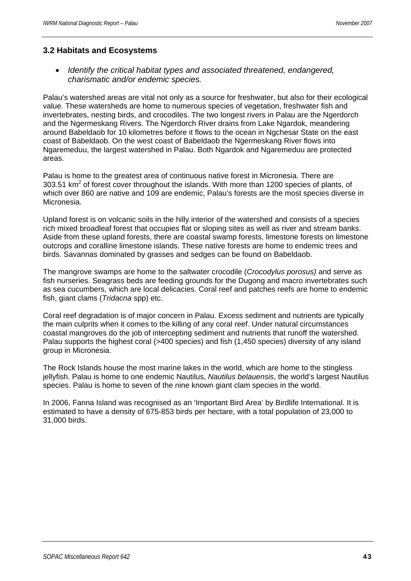#### **3.2 Habitats and Ecosystems**

• *Identify the critical habitat types and associated threatened, endangered, charismatic and/or endemic species.* 

Palau's watershed areas are vital not only as a source for freshwater, but also for their ecological value. These watersheds are home to numerous species of vegetation, freshwater fish and invertebrates, nesting birds, and crocodiles. The two longest rivers in Palau are the Ngerdorch and the Ngermeskang Rivers. The Ngerdorch River drains from Lake Ngardok, meandering around Babeldaob for 10 kilometres before it flows to the ocean in Ngchesar State on the east coast of Babeldaob. On the west coast of Babeldaob the Ngermeskang River flows into Ngaremeduu, the largest watershed in Palau. Both Ngardok and Ngaremeduu are protected areas.

Palau is home to the greatest area of continuous native forest in Micronesia. There are 303.51 km<sup>2</sup> of forest cover throughout the islands. With more than 1200 species of plants, of which over 860 are native and 109 are endemic, Palau's forests are the most species diverse in Micronesia.

Upland forest is on volcanic soils in the hilly interior of the watershed and consists of a species rich mixed broadleaf forest that occupies flat or sloping sites as well as river and stream banks. Aside from these upland forests, there are coastal swamp forests, limestone forests on limestone outcrops and coralline limestone islands. These native forests are home to endemic trees and birds. Savannas dominated by grasses and sedges can be found on Babeldaob.

The mangrove swamps are home to the saltwater crocodile (*Crocodylus porosus)* and serve as fish nurseries. Seagrass beds are feeding grounds for the Dugong and macro invertebrates such as sea cucumbers, which are local delicacies. Coral reef and patches reefs are home to endemic fish, giant clams (*Tridacna* spp) etc.

Coral reef degradation is of major concern in Palau. Excess sediment and nutrients are typically the main culprits when it comes to the killing of any coral reef. Under natural circumstances coastal mangroves do the job of intercepting sediment and nutrients that runoff the watershed. Palau supports the highest coral (>400 species) and fish (1,450 species) diversity of any island group in Micronesia.

The Rock Islands house the most marine lakes in the world, which are home to the stingless jellyfish. Palau is home to one endemic Nautilus, *Nautilus belauensis*, the world's largest Nautilus species. Palau is home to seven of the nine known giant clam species in the world.

In 2006, Fanna Island was recognised as an 'Important Bird Area' by Birdlife International. It is estimated to have a density of 675-853 birds per hectare, with a total population of 23,000 to 31,000 birds.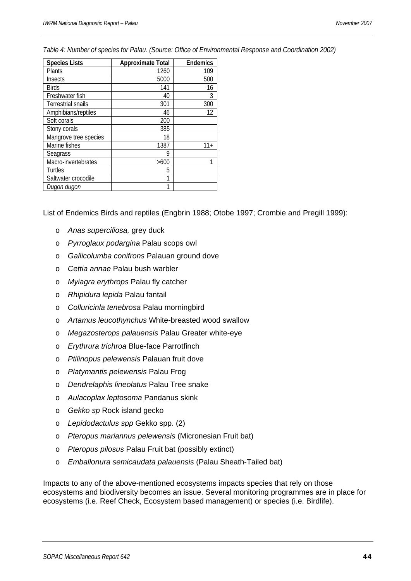*Table 4: Number of species for Palau. (Source: Office of Environmental Response and Coordination 2002)* 

| <b>Species Lists</b>  | <b>Approximate Total</b> | <b>Endemics</b> |
|-----------------------|--------------------------|-----------------|
| <b>Plants</b>         | 1260                     | 109             |
| Insects               | 5000                     | 500             |
| <b>Birds</b>          | 141                      | 16              |
| Freshwater fish       | 40                       | 3               |
| Terrestrial snails    | 301                      | 300             |
| Amphibians/reptiles   | 46                       | 12              |
| Soft corals           | 200                      |                 |
| Stony corals          | 385                      |                 |
| Mangrove tree species | 18                       |                 |
| Marine fishes         | 1387                     | $11 +$          |
| Seagrass              | 9                        |                 |
| Macro-invertebrates   | >600                     |                 |
| Turtles               | 5                        |                 |
| Saltwater crocodile   | 1                        |                 |
| Dugon dugon           |                          |                 |

List of Endemics Birds and reptiles (Engbrin 1988; Otobe 1997; Crombie and Pregill 1999):

- o *Anas superciliosa,* grey duck
- o *Pyrroglaux podargina* Palau scops owl
- o *Gallicolumba conifrons* Palauan ground dove
- o *Cettia annae* Palau bush warbler
- o *Myiagra erythrops* Palau fly catcher
- o *Rhipidura lepida* Palau fantail
- o *Colluricinla tenebrosa* Palau morningbird
- o *Artamus leucothynchus* White-breasted wood swallow
- o *Megazosterops palauensis* Palau Greater white-eye
- o *Erythrura trichroa* Blue-face Parrotfinch
- o *Ptilinopus pelewensis* Palauan fruit dove
- o *Platymantis pelewensis* Palau Frog
- o *Dendrelaphis lineolatus* Palau Tree snake
- o *Aulacoplax leptosoma* Pandanus skink
- o *Gekko sp* Rock island gecko
- o *Lepidodactulus spp* Gekko spp. (2)
- o *Pteropus mariannus pelewensis* (Micronesian Fruit bat)
- o *Pteropus pilosus* Palau Fruit bat (possibly extinct)
- o *Emballonura semicaudata palauensis* (Palau Sheath-Tailed bat)

Impacts to any of the above-mentioned ecosystems impacts species that rely on those ecosystems and biodiversity becomes an issue. Several monitoring programmes are in place for ecosystems (i.e. Reef Check, Ecosystem based management) or species (i.e. Birdlife).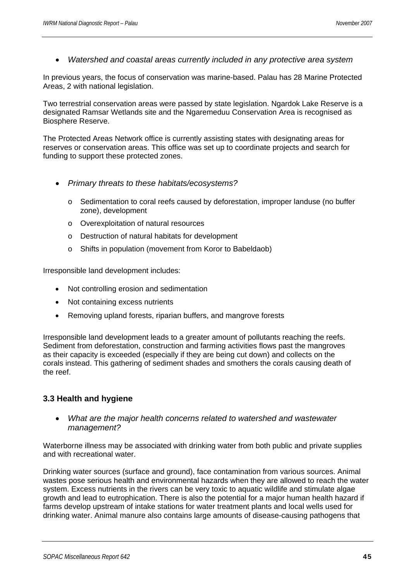• *Watershed and coastal areas currently included in any protective area system* 

In previous years, the focus of conservation was marine-based. Palau has 28 Marine Protected Areas, 2 with national legislation.

Two terrestrial conservation areas were passed by state legislation. Ngardok Lake Reserve is a designated Ramsar Wetlands site and the Ngaremeduu Conservation Area is recognised as Biosphere Reserve.

The Protected Areas Network office is currently assisting states with designating areas for reserves or conservation areas. This office was set up to coordinate projects and search for funding to support these protected zones.

- *Primary threats to these habitats/ecosystems?* 
	- o Sedimentation to coral reefs caused by deforestation, improper landuse (no buffer zone), development
	- o Overexploitation of natural resources
	- o Destruction of natural habitats for development
	- o Shifts in population (movement from Koror to Babeldaob)

Irresponsible land development includes:

- Not controlling erosion and sedimentation
- Not containing excess nutrients
- Removing upland forests, riparian buffers, and mangrove forests

Irresponsible land development leads to a greater amount of pollutants reaching the reefs. Sediment from deforestation, construction and farming activities flows past the mangroves as their capacity is exceeded (especially if they are being cut down) and collects on the corals instead. This gathering of sediment shades and smothers the corals causing death of the reef.

#### **3.3 Health and hygiene**

• *What are the major health concerns related to watershed and wastewater management?* 

Waterborne illness may be associated with drinking water from both public and private supplies and with recreational water.

Drinking water sources (surface and ground), face contamination from various sources. Animal wastes pose serious health and environmental hazards when they are allowed to reach the water system. Excess nutrients in the rivers can be very toxic to aquatic wildlife and stimulate algae growth and lead to eutrophication. There is also the potential for a major human health hazard if farms develop upstream of intake stations for water treatment plants and local wells used for drinking water. Animal manure also contains large amounts of disease-causing pathogens that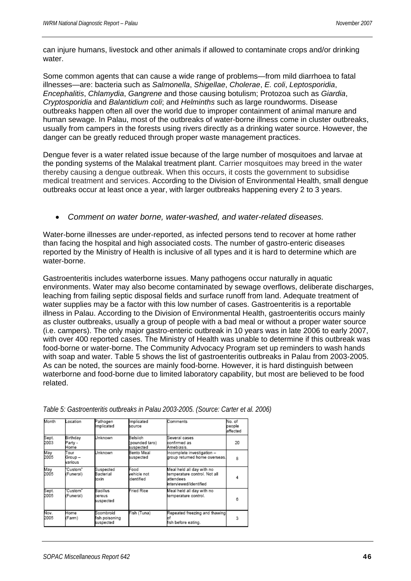can injure humans, livestock and other animals if allowed to contaminate crops and/or drinking water

Some common agents that can cause a wide range of problems—from mild diarrhoea to fatal illnesses—are: bacteria such as *Salmonella*, *Shigellae*, *Cholerae*, *E. coli*, *Leptosporidia*, *Encephalitis*, *Chlamydia*, *Gangrene* and those causing botulism; Protozoa such as *Giardia*, *Cryptosporidia* and *Balantidium coli*; and *Helminths* such as large roundworms. Disease outbreaks happen often all over the world due to improper containment of animal manure and human sewage. In Palau, most of the outbreaks of water-borne illness come in cluster outbreaks, usually from campers in the forests using rivers directly as a drinking water source. However, the danger can be greatly reduced through proper waste management practices.

Dengue fever is a water related issue because of the large number of mosquitoes and larvae at the ponding systems of the Malakal treatment plant. Carrier mosquitoes may breed in the water thereby causing a dengue outbreak. When this occurs, it costs the government to subsidise medical treatment and services. According to the Division of Environmental Health, small dengue outbreaks occur at least once a year, with larger outbreaks happening every 2 to 3 years.

#### • *Comment on water borne, water-washed, and water-related diseases.*

Water-borne illnesses are under-reported, as infected persons tend to recover at home rather than facing the hospital and high associated costs. The number of gastro-enteric diseases reported by the Ministry of Health is inclusive of all types and it is hard to determine which are water-borne.

Gastroenteritis includes waterborne issues. Many pathogens occur naturally in aquatic environments. Water may also become contaminated by sewage overflows, deliberate discharges, leaching from failing septic disposal fields and surface runoff from land. Adequate treatment of water supplies may be a factor with this low number of cases. Gastroenteritis is a reportable illness in Palau. According to the Division of Environmental Health, gastroenteritis occurs mainly as cluster outbreaks, usually a group of people with a bad meal or without a proper water source (i.e. campers). The only major gastro-enteric outbreak in 10 years was in late 2006 to early 2007, with over 400 reported cases. The Ministry of Health was unable to determine if this outbreak was food-borne or water-borne. The Community Advocacy Program set up reminders to wash hands with soap and water. Table 5 shows the list of gastroenteritis outbreaks in Palau from 2003-2005. As can be noted, the sources are mainly food-borne. However, it is hard distinguish between waterborne and food-borne due to limited laboratory capability, but most are believed to be food related.

| Month         | ccation                          | Pathogen<br>Implicated                   | Implicated<br>source                    | Comments                                                                                                 | No. of<br>people<br>affected |
|---------------|----------------------------------|------------------------------------------|-----------------------------------------|----------------------------------------------------------------------------------------------------------|------------------------------|
| Sept.<br>2003 | Birthday<br>Party -<br>Home      | Unknown                                  | Belsiich<br>(pounded taro)<br>suspected | Several cases<br>confirmed as<br>Amebiasis.                                                              | 20                           |
| May<br>2005   | Tour<br>Group –<br>various       | <b>Unknown</b>                           | Bento Meal<br>suspected                 | Incomplete investigation -<br>group returned home overseas.                                              | 8                            |
| May<br>2005   | 'Custom"<br>(Funeral)            | Suspected<br>Bacterial<br>toxin          | Food<br>vehicle not<br>identified       | Meal held all day with no<br>temperature control. Not all<br>attendees<br><b>i</b> nterviewed/identified | 4                            |
| Sept.<br>2005 | Custom <sup>*</sup><br>(Funeral) | Bacillus<br>cereus<br>suspected          | Fried Rice                              | Meal held all day with no<br>temperature control.                                                        | 6                            |
| Nov.<br>2005  | Home<br>(Farm)                   | Scombroid<br>fish poisoning<br>suspected | Fish (Tuna)                             | Repeated freezing and thawing<br>nf<br>fish before eating.                                               | 3                            |

*Table 5: Gastroenteritis outbreaks in Palau 2003-2005. (Source: Carter et al. 2006)*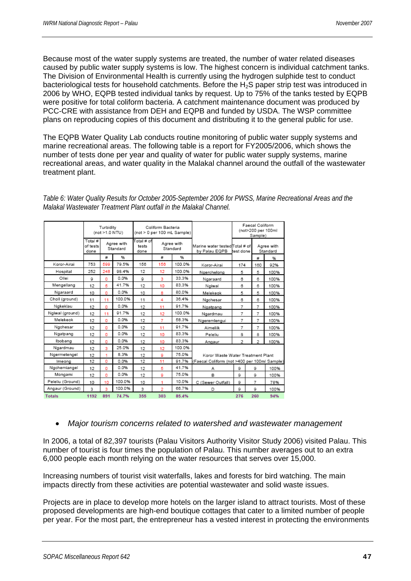Because most of the water supply systems are treated, the number of water related diseases caused by public water supply systems is low. The highest concern is individual catchment tanks. The Division of Environmental Health is currently using the hydrogen sulphide test to conduct bacteriological tests for household catchments. Before the H<sub>2</sub>S paper strip test was introduced in 2006 by WHO, EQPB tested individual tanks by request. Up to 75% of the tanks tested by EQPB were positive for total coliform bacteria. A catchment maintenance document was produced by PCC-CRE with assistance from DEH and EQPB and funded by USDA. The WSP committee plans on reproducing copies of this document and distributing it to the general public for use.

The EQPB Water Quality Lab conducts routine monitoring of public water supply systems and marine recreational areas. The following table is a report for FY2005/2006, which shows the number of tests done per year and quality of water for public water supply systems, marine recreational areas, and water quality in the Malakal channel around the outfall of the wastewater treatment plant.

|                  |                             | Turbidity<br>(not >1.0 NTU) |                        |                              | Coliform Bacteria | (not > 0 per 100 mL Sample) |                                                 |                | Faecal Coliform<br>(not>200 per 100ml<br>Sample) |                        |
|------------------|-----------------------------|-----------------------------|------------------------|------------------------------|-------------------|-----------------------------|-------------------------------------------------|----------------|--------------------------------------------------|------------------------|
|                  | Total #<br>of tests<br>done |                             | Agree with<br>Standard | Total # ofl<br>tests<br>done |                   | Agree with<br>Standard      | Marine water tested Total # of<br>by Palau EQPB | test done      |                                                  | Agree with<br>Standard |
|                  |                             | #                           | %                      |                              | #                 | %                           |                                                 |                | #                                                | %                      |
| Koror-Airai      | 753                         | 599                         | 79.5%                  | 156                          | 156               | 100.0%                      | Koror-Airai                                     | 174            | 160                                              | 92%                    |
| Hospital         | 252                         | 248                         | 98.4%                  | 12                           | 12                | 100.0%                      | Ngerchelong                                     | 5              | 5                                                | 100%                   |
| Ollei            | а                           | ٥                           | 0.0%                   | g                            | 3                 | 33.3%                       | Ngaraard                                        | 6              | 6                                                | 100%                   |
| Mengellang       | 12                          | 5                           | 41.7%                  | 12                           | 10                | 83.3%                       | Ngiwal                                          | 6              | 6                                                | 100%                   |
| Ngaraard         | 10                          | o                           | 0.0%                   | 10                           | 8                 | 80.0%                       | Melekeok                                        | 5              | 5                                                | 100%                   |
| Choll (ground)   | 11                          | 11                          | 100.0%                 | 11                           | 4                 | 36.4%                       | Ngchesar                                        | 6              | 6                                                | 100%                   |
| Ngkeklau         | 12                          | o                           | 0.0%                   | 12                           | 11                | 91.7%                       | Ngatpang                                        | 7              | 7                                                | 100%                   |
| Ngiwal (ground)  | 12                          | 11                          | 91.7%                  | 12                           | 12                | 100.0%                      | Ngardmau                                        | $\overline{7}$ | 7                                                | 100%                   |
| Melekeok         | 12                          | o                           | 0.0%                   | 12                           | $\overline{7}$    | 58.3%                       | Ngeremlengui                                    | 7              | 7                                                | 100%                   |
| Ngchesar         | 12                          | o                           | 0.0%                   | 12                           | 11                | 91.7%                       | Aimeliik                                        | 7              | 7                                                | 100%                   |
| Ngatpang         | 12                          | ٥                           | 0.0%                   | 12                           | 10                | 83.3%                       | Peleliu                                         | 8              | 8                                                | 100%                   |
| Ibobang          | 12                          | o                           | 0.0%                   | 12                           | 10                | 83.3%                       | Angaur                                          | 2              | 2                                                | 100%                   |
| Ngardmau         | 12                          | 3                           | 25.0%                  | 12                           | 12                | 100.0%                      |                                                 |                |                                                  |                        |
| Ngermetengel     | 12                          |                             | 8.3%                   | 12                           | ø                 | 75.0%                       | Koror Waste Water Treatment Plant               |                |                                                  |                        |
| Imeong           | 12                          | ٥                           | 0.0%                   | 12                           | 11                | 91.7%                       | (Faecal Coliform (not >400 per 100ml Sample)    |                |                                                  |                        |
| Ngchemiangel     | 12                          | ٥                           | 0.0%                   | 12                           | 5                 | 41.7%                       | Α                                               | o              | o                                                | 100%                   |
| Mongami          | 12                          | ٥                           | 0.0%                   | 12                           | 9                 | 75.0%                       | в                                               | 9              | g                                                | 100%                   |
| Peleliu (Ground) | 10                          | 10                          | 100.0%                 | 10                           | 1                 | 10.0%                       | C (Sewer Outfall)                               | 9              | $\overline{7}$                                   | 78%                    |
| Angaur (Ground)  | 3                           | 3                           | 100.0%                 | 3                            | $\overline{2}$    | 66.7%                       | D                                               | g              | 9                                                | 100%                   |
| <b>Totals</b>    | 1192                        | 891                         | 74.7%                  | 355                          | 303               | 85.4%                       |                                                 | 276            | 260                                              | 94%                    |

*Table 6: Water Quality Results for October 2005-September 2006 for PWSS, Marine Recreational Areas and the Malakal Wastewater Treatment Plant outfall in the Malakal Channel.* 

#### • *Major tourism concerns related to watershed and wastewater management*

In 2006, a total of 82,397 tourists (Palau Visitors Authority Visitor Study 2006) visited Palau. This number of tourist is four times the population of Palau. This number averages out to an extra 6,000 people each month relying on the water resources that serves over 15,000.

Increasing numbers of tourist visit waterfalls, lakes and forests for bird watching. The main impacts directly from these activities are potential wastewater and solid waste issues.

Projects are in place to develop more hotels on the larger island to attract tourists. Most of these proposed developments are high-end boutique cottages that cater to a limited number of people per year. For the most part, the entrepreneur has a vested interest in protecting the environments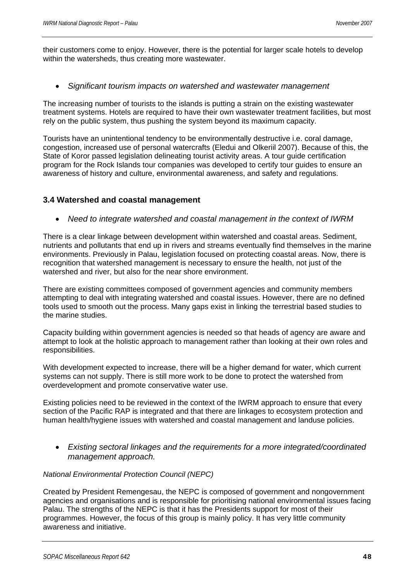their customers come to enjoy. However, there is the potential for larger scale hotels to develop within the watersheds, thus creating more wastewater.

• *Significant tourism impacts on watershed and wastewater management* 

The increasing number of tourists to the islands is putting a strain on the existing wastewater treatment systems. Hotels are required to have their own wastewater treatment facilities, but most rely on the public system, thus pushing the system beyond its maximum capacity.

Tourists have an unintentional tendency to be environmentally destructive i.e. coral damage, congestion, increased use of personal watercrafts (Eledui and Olkeriil 2007). Because of this, the State of Koror passed legislation delineating tourist activity areas. A tour guide certification program for the Rock Islands tour companies was developed to certify tour guides to ensure an awareness of history and culture, environmental awareness, and safety and regulations.

#### **3.4 Watershed and coastal management**

• *Need to integrate watershed and coastal management in the context of IWRM* 

There is a clear linkage between development within watershed and coastal areas. Sediment, nutrients and pollutants that end up in rivers and streams eventually find themselves in the marine environments. Previously in Palau, legislation focused on protecting coastal areas. Now, there is recognition that watershed management is necessary to ensure the health, not just of the watershed and river, but also for the near shore environment.

There are existing committees composed of government agencies and community members attempting to deal with integrating watershed and coastal issues. However, there are no defined tools used to smooth out the process. Many gaps exist in linking the terrestrial based studies to the marine studies.

Capacity building within government agencies is needed so that heads of agency are aware and attempt to look at the holistic approach to management rather than looking at their own roles and responsibilities.

With development expected to increase, there will be a higher demand for water, which current systems can not supply. There is still more work to be done to protect the watershed from overdevelopment and promote conservative water use.

Existing policies need to be reviewed in the context of the IWRM approach to ensure that every section of the Pacific RAP is integrated and that there are linkages to ecosystem protection and human health/hygiene issues with watershed and coastal management and landuse policies.

• *Existing sectoral linkages and the requirements for a more integrated/coordinated management approach.* 

#### *National Environmental Protection Council (NEPC)*

Created by President Remengesau, the NEPC is composed of government and nongovernment agencies and organisations and is responsible for prioritising national environmental issues facing Palau. The strengths of the NEPC is that it has the Presidents support for most of their programmes. However, the focus of this group is mainly policy. It has very little community awareness and initiative.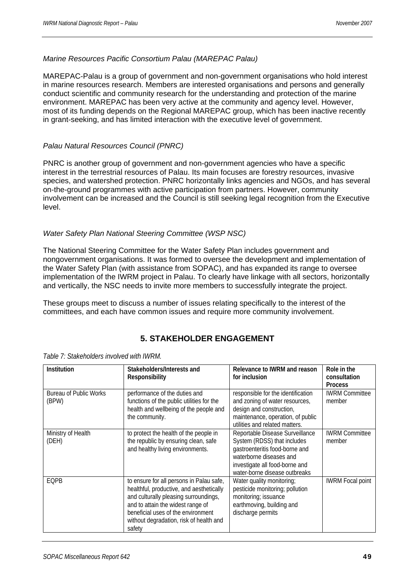#### *Marine Resources Pacific Consortium Palau (MAREPAC Palau)*

MAREPAC-Palau is a group of government and non-government organisations who hold interest in marine resources research. Members are interested organisations and persons and generally conduct scientific and community research for the understanding and protection of the marine environment. MAREPAC has been very active at the community and agency level. However, most of its funding depends on the Regional MAREPAC group, which has been inactive recently in grant-seeking, and has limited interaction with the executive level of government.

#### *Palau Natural Resources Council (PNRC)*

PNRC is another group of government and non-government agencies who have a specific interest in the terrestrial resources of Palau. Its main focuses are forestry resources, invasive species, and watershed protection. PNRC horizontally links agencies and NGOs, and has several on-the-ground programmes with active participation from partners. However, community involvement can be increased and the Council is still seeking legal recognition from the Executive level.

#### *Water Safety Plan National Steering Committee (WSP NSC)*

The National Steering Committee for the Water Safety Plan includes government and nongovernment organisations. It was formed to oversee the development and implementation of the Water Safety Plan (with assistance from SOPAC), and has expanded its range to oversee implementation of the IWRM project in Palau. To clearly have linkage with all sectors, horizontally and vertically, the NSC needs to invite more members to successfully integrate the project.

These groups meet to discuss a number of issues relating specifically to the interest of the committees, and each have common issues and require more community involvement.

# **5. STAKEHOLDER ENGAGEMENT**

| <b>Institution</b>                     | Stakeholders/Interests and<br>Responsibility                                                                                                                                                                                                                  | Relevance to IWRM and reason<br>for inclusion                                                                                                                                                  | Role in the<br>consultation                       |
|----------------------------------------|---------------------------------------------------------------------------------------------------------------------------------------------------------------------------------------------------------------------------------------------------------------|------------------------------------------------------------------------------------------------------------------------------------------------------------------------------------------------|---------------------------------------------------|
| <b>Bureau of Public Works</b><br>(BPW) | performance of the duties and<br>functions of the public utilities for the<br>health and wellbeing of the people and<br>the community.                                                                                                                        | responsible for the identification<br>and zoning of water resources,<br>design and construction,<br>maintenance, operation, of public<br>utilities and related matters.                        | <b>Process</b><br><b>IWRM Committee</b><br>member |
| Ministry of Health<br>(DEH)            | to protect the health of the people in<br>the republic by ensuring clean, safe<br>and healthy living environments.                                                                                                                                            | Reportable Disease Surveillance<br>System (RDSS) that includes<br>gastroenteritis food-borne and<br>waterborne diseases and<br>investigate all food-borne and<br>water-borne disease outbreaks | <b>IWRM Committee</b><br>member                   |
| EQPB                                   | to ensure for all persons in Palau safe,<br>healthful, productive, and aesthetically<br>and culturally pleasing surroundings,<br>and to attain the widest range of<br>beneficial uses of the environment<br>without degradation, risk of health and<br>safety | Water quality monitoring;<br>pesticide monitoring; pollution<br>monitoring; issuance<br>earthmoving, building and<br>discharge permits                                                         | <b>IWRM Focal point</b>                           |

*Table 7: Stakeholders involved with IWRM.*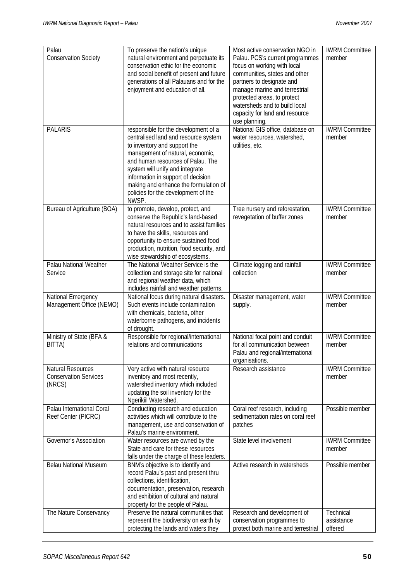| Palau                                                       | To preserve the nation's unique                                                                                                                                                                                                                                                                                                                         | Most active conservation NGO in                                                                                                                                                                                                                                                  | <b>IWRM Committee</b>              |
|-------------------------------------------------------------|---------------------------------------------------------------------------------------------------------------------------------------------------------------------------------------------------------------------------------------------------------------------------------------------------------------------------------------------------------|----------------------------------------------------------------------------------------------------------------------------------------------------------------------------------------------------------------------------------------------------------------------------------|------------------------------------|
| <b>Conservation Society</b>                                 | natural environment and perpetuate its<br>conservation ethic for the economic<br>and social benefit of present and future<br>generations of all Palauans and for the<br>enjoyment and education of all.                                                                                                                                                 | Palau. PCS's current programmes<br>focus on working with local<br>communities, states and other<br>partners to designate and<br>manage marine and terrestrial<br>protected areas, to protect<br>watersheds and to build local<br>capacity for land and resource<br>use planning. | member                             |
| <b>PALARIS</b>                                              | responsible for the development of a<br>centralised land and resource system<br>to inventory and support the<br>management of natural, economic,<br>and human resources of Palau. The<br>system will unify and integrate<br>information in support of decision<br>making and enhance the formulation of<br>policies for the development of the<br>NWSP. | National GIS office, database on<br>water resources, watershed,<br>utilities, etc.                                                                                                                                                                                               | <b>IWRM Committee</b><br>member    |
| Bureau of Agriculture (BOA)                                 | to promote, develop, protect, and<br>conserve the Republic's land-based<br>natural resources and to assist families<br>to have the skills, resources and<br>opportunity to ensure sustained food<br>production, nutrition, food security, and<br>wise stewardship of ecosystems.                                                                        | Tree nursery and reforestation,<br>revegetation of buffer zones                                                                                                                                                                                                                  | <b>IWRM Committee</b><br>member    |
| Palau National Weather<br>Service                           | The National Weather Service is the<br>collection and storage site for national<br>and regional weather data, which<br>includes rainfall and weather patterns.                                                                                                                                                                                          | Climate logging and rainfall<br>collection                                                                                                                                                                                                                                       | <b>IWRM Committee</b><br>member    |
| National Emergency<br>Management Office (NEMO)              | National focus during natural disasters.<br>Such events include contamination<br>with chemicals, bacteria, other<br>waterborne pathogens, and incidents<br>of drought.                                                                                                                                                                                  | Disaster management, water<br>supply.                                                                                                                                                                                                                                            | <b>IWRM Committee</b><br>member    |
| Ministry of State (BFA &<br>BITTA)                          | Responsible for regional/international<br>relations and communications                                                                                                                                                                                                                                                                                  | National focal point and conduit<br>for all communication between<br>Palau and regional/international<br>organisations.                                                                                                                                                          | <b>IWRM Committee</b><br>member    |
| Natural Resources<br><b>Conservation Services</b><br>(NRCS) | Very active with natural resource<br>inventory and most recently,<br>watershed inventory which included<br>updating the soil inventory for the<br>Ngerikiil Watershed.                                                                                                                                                                                  | Research assistance                                                                                                                                                                                                                                                              | <b>IWRM Committee</b><br>member    |
| Palau International Coral<br>Reef Center (PICRC)            | Conducting research and education<br>activities which will contribute to the<br>management, use and conservation of<br>Palau's marine environment.                                                                                                                                                                                                      | Coral reef research, including<br>sedimentation rates on coral reef<br>patches                                                                                                                                                                                                   | Possible member                    |
| Governor's Association                                      | Water resources are owned by the<br>State and care for these resources<br>falls under the charge of these leaders.                                                                                                                                                                                                                                      | State level involvement                                                                                                                                                                                                                                                          | <b>IWRM Committee</b><br>member    |
| <b>Belau National Museum</b>                                | BNM's objective is to identify and<br>record Palau's past and present thru<br>collections, identification,<br>documentation, preservation, research<br>and exhibition of cultural and natural<br>property for the people of Palau.                                                                                                                      | Active research in watersheds                                                                                                                                                                                                                                                    | Possible member                    |
| The Nature Conservancy                                      | Preserve the natural communities that<br>represent the biodiversity on earth by<br>protecting the lands and waters they                                                                                                                                                                                                                                 | Research and development of<br>conservation programmes to<br>protect both marine and terrestrial                                                                                                                                                                                 | Technical<br>assistance<br>offered |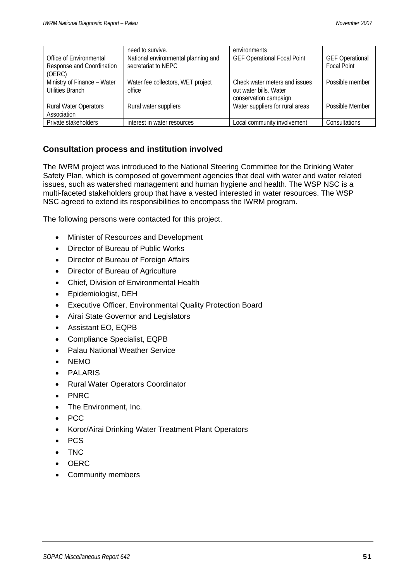|                                                                | need to survive.                                           | environments                                                                     |                                              |
|----------------------------------------------------------------|------------------------------------------------------------|----------------------------------------------------------------------------------|----------------------------------------------|
| Office of Environmental<br>Response and Coordination<br>(OERC) | National environmental planning and<br>secretariat to NEPC | <b>GEF Operational Focal Point</b>                                               | <b>GEF Operational</b><br><b>Focal Point</b> |
| Ministry of Finance - Water<br><b>Utilities Branch</b>         | Water fee collectors, WET project<br>office                | Check water meters and issues<br>out water bills. Water<br>conservation campaign | Possible member                              |
| <b>Rural Water Operators</b><br>Association                    | Rural water suppliers                                      | Water suppliers for rural areas                                                  | Possible Member                              |
| Private stakeholders                                           | interest in water resources                                | Local community involvement                                                      | Consultations                                |

#### **Consultation process and institution involved**

The IWRM project was introduced to the National Steering Committee for the Drinking Water Safety Plan, which is composed of government agencies that deal with water and water related issues, such as watershed management and human hygiene and health. The WSP NSC is a multi-faceted stakeholders group that have a vested interested in water resources. The WSP NSC agreed to extend its responsibilities to encompass the IWRM program.

The following persons were contacted for this project.

- Minister of Resources and Development
- Director of Bureau of Public Works
- Director of Bureau of Foreign Affairs
- Director of Bureau of Agriculture
- Chief, Division of Environmental Health
- Epidemiologist, DEH
- Executive Officer, Environmental Quality Protection Board
- Airai State Governor and Legislators
- Assistant EO, EQPB
- Compliance Specialist, EQPB
- Palau National Weather Service
- NEMO
- **PALARIS**
- Rural Water Operators Coordinator
- PNRC
- The Environment, Inc.
- PCC
- Koror/Airai Drinking Water Treatment Plant Operators
- PCS
- TNC
- OERC
- Community members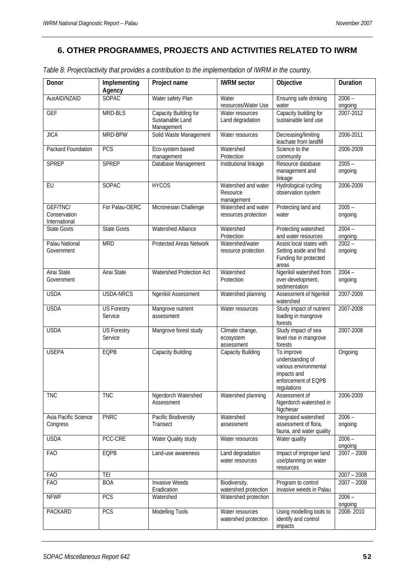# **6. OTHER PROGRAMMES, PROJECTS AND ACTIVITIES RELATED TO IWRM**

|  |  | Table 8: Project/activity that provides a contribution to the implementation of IWRM in the country. |
|--|--|------------------------------------------------------------------------------------------------------|
|  |  |                                                                                                      |

| Donor                                     | Implementing<br>Agency        | Project name                                            | <b>IWRM</b> sector                            | Objective                                                                                                    | Duration            |
|-------------------------------------------|-------------------------------|---------------------------------------------------------|-----------------------------------------------|--------------------------------------------------------------------------------------------------------------|---------------------|
| AusAID/NZAID                              | <b>SOPAC</b>                  | Water safety Plan                                       | Water<br>resources/Water Use                  | Ensuring safe drinking<br>water                                                                              | $2006 -$<br>ongoing |
| <b>GEF</b>                                | MRD-BLS                       | Capacity Building for<br>Sustainable Land<br>Management | Water resources<br>Land degradation           | Capacity building for<br>sustainable land use                                                                | 2007-2012           |
| <b>JICA</b>                               | MRD-BPW                       | Solid Waste Management                                  | Water resources                               | Decreasing/limiting<br>leachate from landfill                                                                | 2006-2011           |
| Packard Foundation                        | PCS                           | Eco-system based<br>management                          | Watershed<br>Protection                       | Science to the<br>community                                                                                  | 2006-2009           |
| <b>SPREP</b>                              | <b>SPREP</b>                  | Database Management                                     | Institutional linkage                         | Resource database<br>management and<br>linkage                                                               | $2005 -$<br>ongoing |
| EU                                        | <b>SOPAC</b>                  | <b>HYCOS</b>                                            | Watershed and water<br>Resource<br>management | Hydrological cycling<br>observation system                                                                   | 2006-2009           |
| GEF/TNC/<br>Conservation<br>International | For Palau-OERC                | Micronesian Challenge                                   | Watershed and water<br>resources protection   | Protecting land and<br>water                                                                                 | $2005 -$<br>ongoing |
| State Govts                               | <b>State Govts</b>            | <b>Watershed Alliance</b>                               | Watershed<br>Protection                       | Protecting watershed<br>and water resources                                                                  | $2004 -$<br>ongoing |
| Palau National<br>Government              | <b>MRD</b>                    | Protected Areas Network                                 | Watershed/water<br>resource protection        | Assist local states with<br>Setting aside and find<br>Funding for protected<br>areas                         | $2002 -$<br>ongoing |
| <b>Airai State</b><br>Government          | Airai State                   | <b>Watershed Protection Act</b>                         | Watershed<br>Protection                       | Ngerikiil watershed from<br>over-development,<br>sedimentation                                               | $2004 -$<br>ongoing |
| <b>USDA</b>                               | <b>USDA-NRCS</b>              | <b>Ngerikiil Assessment</b>                             | Watershed planning                            | <b>Assessment of Ngerikiil</b><br>watershed                                                                  | 2007-2009           |
| <b>USDA</b>                               | <b>US Forestry</b><br>Service | Mangrove nutrient<br>assessment                         | Water resources                               | Study impact of nutrient<br>loading in mangrove<br>forests                                                   | 2007-2008           |
| <b>USDA</b>                               | <b>US Forestry</b><br>Service | Mangrove forest study                                   | Climate change,<br>ecosystem<br>assessment    | Study impact of sea<br>level rise in mangrove<br>forests                                                     | 2007-2008           |
| <b>USEPA</b>                              | EQPB                          | Capacity Building                                       | Capacity Building                             | To improve<br>understanding of<br>various environmental<br>impacts and<br>enforcement of EQPB<br>regulations | Ongoing             |
| <b>TNC</b>                                | <b>TNC</b>                    | Ngerdorch Watershed<br>Assessment                       | Watershed planning                            | Assessment of<br>Ngerdorch watershed in<br>Ngchesar                                                          | 2006-2009           |
| Asia Pacific Science<br>Congress          | <b>PNRC</b>                   | Pacific Biodiversity<br>Transect                        | Watershed<br>assessment                       | Integrated watershed<br>assessment of flora,<br>fauna, and water quality                                     | $2006 -$<br>ongoing |
| <b>USDA</b>                               | PCC-CRE                       | Water Quality study                                     | Water resources                               | Water quality                                                                                                | $2006 -$<br>ongoing |
| <b>FAO</b>                                | EQPB                          | Land-use awareness                                      | Land degradation<br>water resources           | Impact of improper land<br>use/planning on water<br>resources                                                | $2007 - 2008$       |
| <b>FAO</b>                                | TEI                           |                                                         |                                               |                                                                                                              | $2007 - 2008$       |
| <b>FAO</b>                                | <b>BOA</b>                    | <b>Invasive Weeds</b><br>Eradication                    | Biodiversity,<br>watershed protection         | Program to control<br>invasive weeds in Palau                                                                | $2007 - 2008$       |
| <b>NFWF</b>                               | PCS                           | Watershed                                               | Watershed protection                          |                                                                                                              | $2006 -$<br>ongoing |
| PACKARD                                   | PCS                           | Modelling Tools                                         | Water resources<br>watershed protection       | Using modelling tools to<br>identify and control<br>impacts                                                  | 2008-2010           |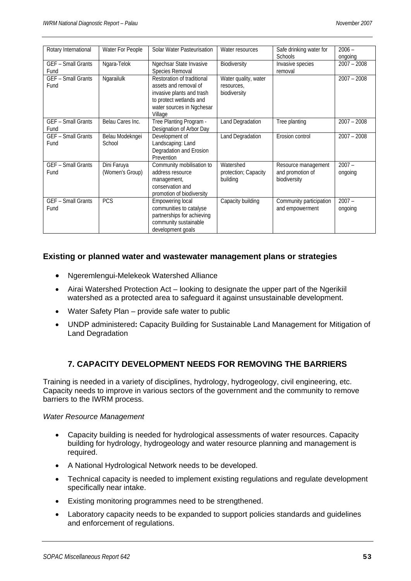| Rotary International      | Water For People | Solar Water Pasteurisation | Water resources      | Safe drinking water for | $2006 -$      |
|---------------------------|------------------|----------------------------|----------------------|-------------------------|---------------|
|                           |                  |                            |                      | <b>Schools</b>          | ongoing       |
| <b>GEF - Small Grants</b> | Ngara-Telok      | Ngechsar State Invasive    | Biodiversity         | Invasive species        | $2007 - 2008$ |
| Fund                      |                  | Species Removal            |                      | removal                 |               |
| <b>GEF - Small Grants</b> | Ngarailulk       | Restoration of traditional | Water quality, water |                         | $2007 - 2008$ |
| Fund                      |                  | assets and removal of      | resources.           |                         |               |
|                           |                  | invasive plants and trash  | biodiversity         |                         |               |
|                           |                  | to protect wetlands and    |                      |                         |               |
|                           |                  | water sources in Ngchesar  |                      |                         |               |
|                           |                  | Village                    |                      |                         |               |
| GEF - Small Grants        | Belau Cares Inc. | Tree Planting Program -    | Land Degradation     | Tree planting           | $2007 - 2008$ |
| Fund                      |                  | Designation of Arbor Day   |                      |                         |               |
| <b>GEF</b> - Small Grants | Belau Modekngei  | Development of             | Land Degradation     | Erosion control         | $2007 - 2008$ |
| Fund                      | School           | Landscaping: Land          |                      |                         |               |
|                           |                  | Degradation and Erosion    |                      |                         |               |
|                           |                  | Prevention                 |                      |                         |               |
| GEF - Small Grants        | Dini Faruya      | Community mobilisation to  | Watershed            | Resource management     | $2007 -$      |
| Fund                      | (Women's Group)  | address resource           | protection; Capacity | and promotion of        | ongoing       |
|                           |                  | management,                | building             | biodiversity            |               |
|                           |                  | conservation and           |                      |                         |               |
|                           |                  | promotion of biodiversity  |                      |                         |               |
| GEF - Small Grants        | PCS              | Empowering local           | Capacity building    | Community participation | $2007 -$      |
| Fund                      |                  | communities to catalyse    |                      | and empowerment         | ongoing       |
|                           |                  | partnerships for achieving |                      |                         |               |
|                           |                  | community sustainable      |                      |                         |               |
|                           |                  | development goals          |                      |                         |               |

#### **Existing or planned water and wastewater management plans or strategies**

- Ngeremlengui-Melekeok Watershed Alliance
- Airai Watershed Protection Act looking to designate the upper part of the Ngerikiil watershed as a protected area to safeguard it against unsustainable development.
- Water Safety Plan provide safe water to public
- UNDP administered**:** Capacity Building for Sustainable Land Management for Mitigation of Land Degradation

# **7. CAPACITY DEVELOPMENT NEEDS FOR REMOVING THE BARRIERS**

Training is needed in a variety of disciplines, hydrology, hydrogeology, civil engineering, etc. Capacity needs to improve in various sectors of the government and the community to remove barriers to the IWRM process.

#### *Water Resource Management*

- Capacity building is needed for hydrological assessments of water resources. Capacity building for hydrology, hydrogeology and water resource planning and management is required.
- A National Hydrological Network needs to be developed.
- Technical capacity is needed to implement existing regulations and regulate development specifically near intake.
- Existing monitoring programmes need to be strengthened.
- Laboratory capacity needs to be expanded to support policies standards and guidelines and enforcement of regulations.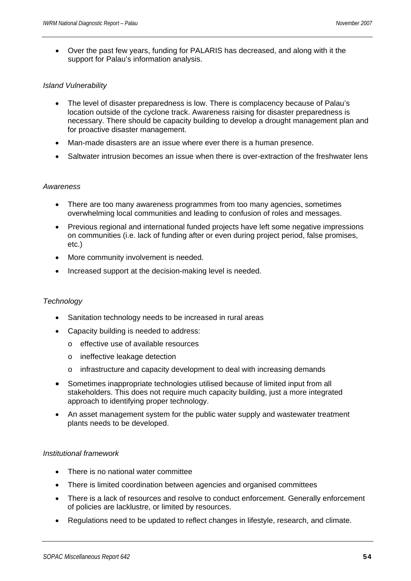• Over the past few years, funding for PALARIS has decreased, and along with it the support for Palau's information analysis.

#### *Island Vulnerability*

- The level of disaster preparedness is low. There is complacency because of Palau's location outside of the cyclone track. Awareness raising for disaster preparedness is necessary. There should be capacity building to develop a drought management plan and for proactive disaster management.
- Man-made disasters are an issue where ever there is a human presence.
- Saltwater intrusion becomes an issue when there is over-extraction of the freshwater lens

#### *Awareness*

- There are too many awareness programmes from too many agencies, sometimes overwhelming local communities and leading to confusion of roles and messages.
- Previous regional and international funded projects have left some negative impressions on communities (i.e. lack of funding after or even during project period, false promises, etc.)
- More community involvement is needed.
- Increased support at the decision-making level is needed.

#### *Technology*

- Sanitation technology needs to be increased in rural areas
- Capacity building is needed to address:
	- o effective use of available resources
	- o ineffective leakage detection
	- infrastructure and capacity development to deal with increasing demands
- Sometimes inappropriate technologies utilised because of limited input from all stakeholders. This does not require much capacity building, just a more integrated approach to identifying proper technology.
- An asset management system for the public water supply and wastewater treatment plants needs to be developed.

#### *Institutional framework*

- There is no national water committee
- There is limited coordination between agencies and organised committees
- There is a lack of resources and resolve to conduct enforcement. Generally enforcement of policies are lacklustre, or limited by resources.
- Regulations need to be updated to reflect changes in lifestyle, research, and climate.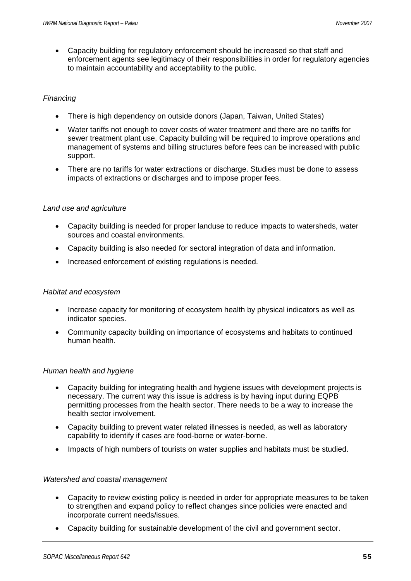• Capacity building for regulatory enforcement should be increased so that staff and enforcement agents see legitimacy of their responsibilities in order for regulatory agencies to maintain accountability and acceptability to the public.

#### *Financ*i*ng*

- There is high dependency on outside donors (Japan, Taiwan, United States)
- Water tariffs not enough to cover costs of water treatment and there are no tariffs for sewer treatment plant use. Capacity building will be required to improve operations and management of systems and billing structures before fees can be increased with public support.
- There are no tariffs for water extractions or discharge. Studies must be done to assess impacts of extractions or discharges and to impose proper fees.

#### *Land use and agriculture*

- Capacity building is needed for proper landuse to reduce impacts to watersheds, water sources and coastal environments.
- Capacity building is also needed for sectoral integration of data and information.
- Increased enforcement of existing regulations is needed.

#### *Habitat and ecosystem*

- Increase capacity for monitoring of ecosystem health by physical indicators as well as indicator species.
- Community capacity building on importance of ecosystems and habitats to continued human health.

#### *Human health and hygiene*

- Capacity building for integrating health and hygiene issues with development projects is necessary. The current way this issue is address is by having input during EQPB permitting processes from the health sector. There needs to be a way to increase the health sector involvement.
- Capacity building to prevent water related illnesses is needed, as well as laboratory capability to identify if cases are food-borne or water-borne.
- Impacts of high numbers of tourists on water supplies and habitats must be studied.

#### *Watershed and coastal management*

- Capacity to review existing policy is needed in order for appropriate measures to be taken to strengthen and expand policy to reflect changes since policies were enacted and incorporate current needs/issues.
- Capacity building for sustainable development of the civil and government sector.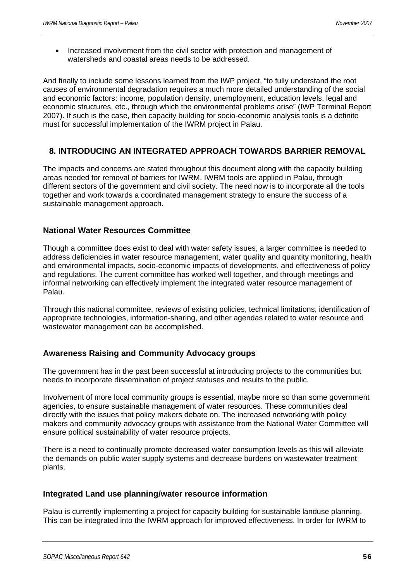• Increased involvement from the civil sector with protection and management of watersheds and coastal areas needs to be addressed.

And finally to include some lessons learned from the IWP project, "to fully understand the root causes of environmental degradation requires a much more detailed understanding of the social and economic factors: income, population density, unemployment, education levels, legal and economic structures, etc., through which the environmental problems arise" (IWP Terminal Report 2007). If such is the case, then capacity building for socio-economic analysis tools is a definite must for successful implementation of the IWRM project in Palau.

# **8. INTRODUCING AN INTEGRATED APPROACH TOWARDS BARRIER REMOVAL**

The impacts and concerns are stated throughout this document along with the capacity building areas needed for removal of barriers for IWRM. IWRM tools are applied in Palau, through different sectors of the government and civil society. The need now is to incorporate all the tools together and work towards a coordinated management strategy to ensure the success of a sustainable management approach.

#### **National Water Resources Committee**

Though a committee does exist to deal with water safety issues, a larger committee is needed to address deficiencies in water resource management, water quality and quantity monitoring, health and environmental impacts, socio-economic impacts of developments, and effectiveness of policy and regulations. The current committee has worked well together, and through meetings and informal networking can effectively implement the integrated water resource management of Palau.

Through this national committee, reviews of existing policies, technical limitations, identification of appropriate technologies, information-sharing, and other agendas related to water resource and wastewater management can be accomplished.

# **Awareness Raising and Community Advocacy groups**

The government has in the past been successful at introducing projects to the communities but needs to incorporate dissemination of project statuses and results to the public.

Involvement of more local community groups is essential, maybe more so than some government agencies, to ensure sustainable management of water resources. These communities deal directly with the issues that policy makers debate on. The increased networking with policy makers and community advocacy groups with assistance from the National Water Committee will ensure political sustainability of water resource projects.

There is a need to continually promote decreased water consumption levels as this will alleviate the demands on public water supply systems and decrease burdens on wastewater treatment plants.

#### **Integrated Land use planning/water resource information**

Palau is currently implementing a project for capacity building for sustainable landuse planning. This can be integrated into the IWRM approach for improved effectiveness. In order for IWRM to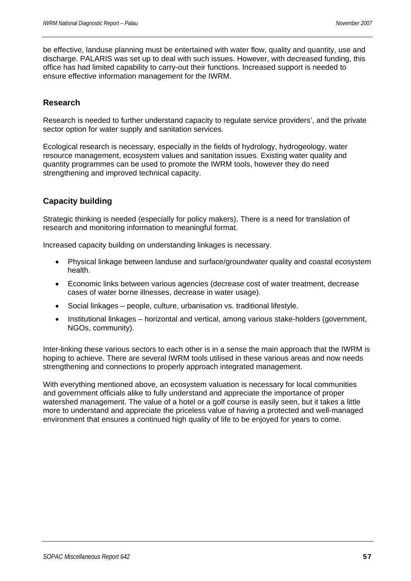be effective, landuse planning must be entertained with water flow, quality and quantity, use and discharge. PALARIS was set up to deal with such issues. However, with decreased funding, this office has had limited capability to carry-out their functions. Increased support is needed to ensure effective information management for the IWRM.

# **Research**

Research is needed to further understand capacity to regulate service providers', and the private sector option for water supply and sanitation services.

Ecological research is necessary, especially in the fields of hydrology, hydrogeology, water resource management, ecosystem values and sanitation issues. Existing water quality and quantity programmes can be used to promote the IWRM tools, however they do need strengthening and improved technical capacity.

# **Capacity building**

Strategic thinking is needed (especially for policy makers). There is a need for translation of research and monitoring information to meaningful format.

Increased capacity building on understanding linkages is necessary.

- Physical linkage between landuse and surface/groundwater quality and coastal ecosystem health.
- Economic links between various agencies (decrease cost of water treatment, decrease cases of water borne illnesses, decrease in water usage).
- Social linkages people, culture, urbanisation vs. traditional lifestyle.
- Institutional linkages horizontal and vertical, among various stake-holders (government, NGOs, community).

Inter-linking these various sectors to each other is in a sense the main approach that the IWRM is hoping to achieve. There are several IWRM tools utilised in these various areas and now needs strengthening and connections to properly approach integrated management.

With everything mentioned above, an ecosystem valuation is necessary for local communities and government officials alike to fully understand and appreciate the importance of proper watershed management. The value of a hotel or a golf course is easily seen, but it takes a little more to understand and appreciate the priceless value of having a protected and well-managed environment that ensures a continued high quality of life to be enjoyed for years to come.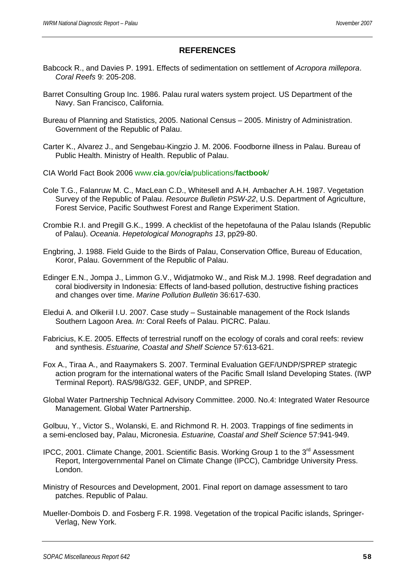# **REFERENCES**

- Babcock R., and Davies P. 1991. Effects of sedimentation on settlement of *Acropora millepora*. *Coral Reefs* 9: 205-208.
- Barret Consulting Group Inc. 1986. Palau rural waters system project. US Department of the Navy. San Francisco, California.
- Bureau of Planning and Statistics, 2005. National Census 2005. Ministry of Administration. Government of the Republic of Palau.
- Carter K., Alvarez J., and Sengebau-Kingzio J. M. 2006. Foodborne illness in Palau. Bureau of Public Health. Ministry of Health. Republic of Palau.
- CIA World Fact Book 2006 www.**cia**.gov/**cia**/publications/**factbook**/
- Cole T.G., Falanruw M. C., MacLean C.D., Whitesell and A.H. Ambacher A.H. 1987. Vegetation Survey of the Republic of Palau. *Resource Bulletin PSW-22*, U.S. Department of Agriculture, Forest Service, Pacific Southwest Forest and Range Experiment Station.
- Crombie R.I. and Pregill G.K., 1999. A checklist of the hepetofauna of the Palau Islands (Republic of Palau). *Oceania*. *Hepetological Monographs 13*, pp29-80.
- Engbring, J. 1988. Field Guide to the Birds of Palau, Conservation Office, Bureau of Education, Koror, Palau. Government of the Republic of Palau.
- Edinger E.N., Jompa J., Limmon G.V., Widjatmoko W., and Risk M.J. 1998. Reef degradation and coral biodiversity in Indonesia: Effects of land-based pollution, destructive fishing practices and changes over time. *Marine Pollution Bulletin* 36:617-630.
- Eledui A. and Olkeriil I.U. 2007. Case study Sustainable management of the Rock Islands Southern Lagoon Area. *In:* Coral Reefs of Palau. PICRC. Palau.
- Fabricius, K.E. 2005. Effects of terrestrial runoff on the ecology of corals and coral reefs: review and synthesis. *Estuarine, Coastal and Shelf Science* 57:613-621.
- Fox A., Tiraa A., and Raaymakers S. 2007. Terminal Evaluation GEF/UNDP/SPREP strategic action program for the international waters of the Pacific Small Island Developing States. (IWP Terminal Report). RAS/98/G32. GEF, UNDP, and SPREP.
- Global Water Partnership Technical Advisory Committee. 2000. No.4: Integrated Water Resource Management. Global Water Partnership.

Golbuu, Y., Victor S., Wolanski, E. and Richmond R. H. 2003. Trappings of fine sediments in a semi-enclosed bay, Palau, Micronesia. *Estuarine, Coastal and Shelf Science* 57:941-949.

- IPCC, 2001. Climate Change, 2001. Scientific Basis. Working Group 1 to the 3<sup>rd</sup> Assessment Report, Intergovernmental Panel on Climate Change (IPCC), Cambridge University Press. London.
- Ministry of Resources and Development, 2001. Final report on damage assessment to taro patches. Republic of Palau.
- Mueller-Dombois D. and Fosberg F.R. 1998. Vegetation of the tropical Pacific islands, Springer-Verlag, New York.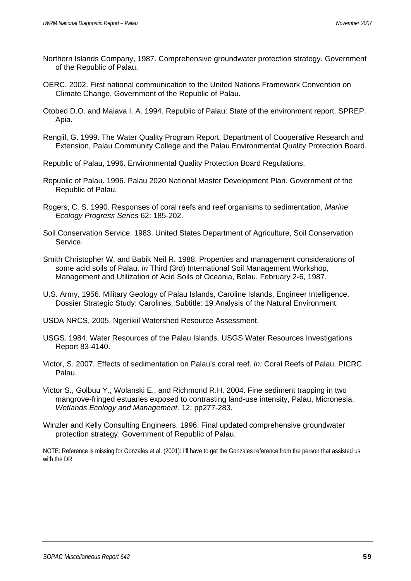- Northern Islands Company, 1987. Comprehensive groundwater protection strategy. Government of the Republic of Palau.
- OERC, 2002. First national communication to the United Nations Framework Convention on Climate Change. Government of the Republic of Palau.
- Otobed D.O. and Maiava I. A. 1994. Republic of Palau: State of the environment report. SPREP. Apia.
- Rengiil, G. 1999. The Water Quality Program Report, Department of Cooperative Research and Extension, Palau Community College and the Palau Environmental Quality Protection Board.

Republic of Palau, 1996. Environmental Quality Protection Board Regulations.

- Republic of Palau. 1996. Palau 2020 National Master Development Plan. Government of the Republic of Palau.
- Rogers, C. S. 1990. Responses of coral reefs and reef organisms to sedimentation, *Marine Ecology Progress Series* 62: 185-202.
- Soil Conservation Service. 1983. United States Department of Agriculture, Soil Conservation Service.
- Smith Christopher W. and Babik Neil R. 1988. Properties and management considerations of some acid soils of Palau. *In* Third (3rd) International Soil Management Workshop, Management and Utilization of Acid Soils of Oceania, Belau, February 2-6, 1987.
- U.S. Army, 1956. Military Geology of Palau Islands, Caroline Islands, Engineer Intelligence. Dossier Strategic Study: Carolines, Subtitle: 19 Analysis of the Natural Environment.

USDA NRCS, 2005. Ngerikiil Watershed Resource Assessment.

- USGS. 1984. Water Resources of the Palau Islands. USGS Water Resources Investigations Report 83-4140.
- Victor, S. 2007. Effects of sedimentation on Palau's coral reef. *In:* Coral Reefs of Palau. PICRC. Palau.
- Victor S., Golbuu Y., Wolanski E., and Richmond R.H. 2004. Fine sediment trapping in two mangrove-fringed estuaries exposed to contrasting land-use intensity, Palau, Micronesia. *Wetlands Ecology and Management.* 12: pp277-283.
- Winzler and Kelly Consulting Engineers. 1996. Final updated comprehensive groundwater protection strategy. Government of Republic of Palau.

NOTE: Reference is missing for Gonzales et al. (2001): I'll have to get the Gonzales reference from the person that assisted us with the DR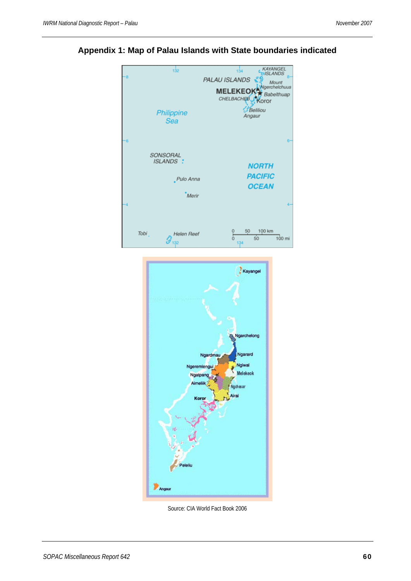

**Appendix 1: Map of Palau Islands with State boundaries indicated** 



Source: CIA World Fact Book 2006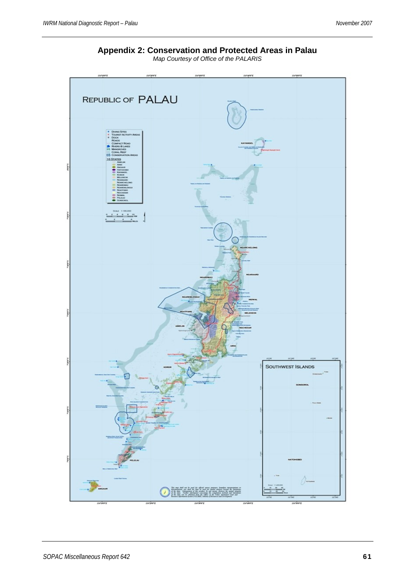**Appendix 2: Conservation and Protected Areas in Palau**  *Map Courtesy of Office of the PALARIS* 

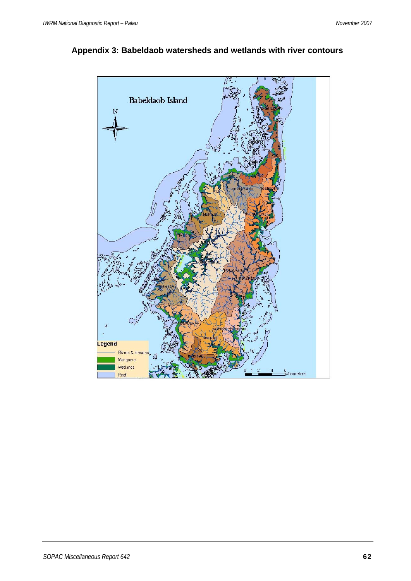

**Appendix 3: Babeldaob watersheds and wetlands with river contours**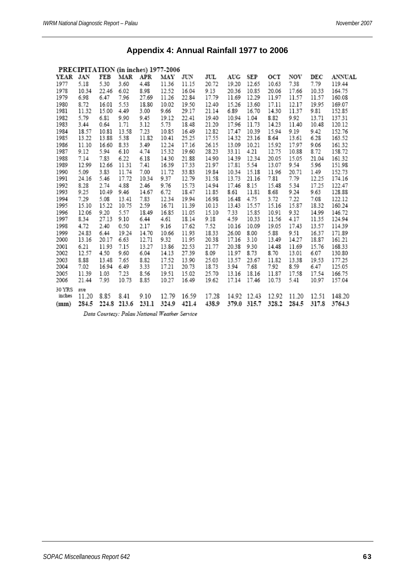| PRECIPITATION (in inches) 1977-2006 |       |       |       |                                                                                                       |       |       |       |       |       |       |       |       |        |
|-------------------------------------|-------|-------|-------|-------------------------------------------------------------------------------------------------------|-------|-------|-------|-------|-------|-------|-------|-------|--------|
| YEAR JAN                            |       | FEB   | MAR   | APR                                                                                                   | MAY   | JUN   | JUL   | AUG   | SEP   | OСТ   | NOV   | DEC   | ANNUAL |
| 1977                                | 5.18  | 5.30  | 3.60  | 4.48                                                                                                  | 11.36 | 11.15 | 20.72 | 19.20 | 12.65 | 10.63 | 7.38  | 7.79  | 119.44 |
| 1978                                | 10.34 | 22.46 | 6.02  | 8.98                                                                                                  | 12.52 | 16.04 | 9.13  | 20.36 | 10.85 | 20.06 | 17.66 | 10.33 | 164.75 |
| 1979                                | 6.98  | 6.47  | 7.96  | 27.69                                                                                                 | 11.26 | 22.84 | 17.79 | 11.69 | 12.29 | 11.97 | 11.57 | 11.57 | 160.08 |
| 1980                                | 8.72  | 16.01 | 5.53  | 18.80                                                                                                 | 10.02 | 19.50 | 12.40 | 15.26 | 13.60 | 17.11 | 12.17 | 19.95 | 169.07 |
| 1981                                | 11.32 | 15.00 | 4.49  | 3.00                                                                                                  | 9.66  | 29.17 | 21.14 | 6.89  | 16.70 | 14.30 | 11.37 | 9.81  | 152.85 |
| 1982                                | 5.79  | 6.81  | 9.90  | 9.45                                                                                                  | 19.12 | 22.41 | 19.40 | 10.94 | 1.04  | 8.82  | 9.92  | 13.71 | 137.31 |
| 1983                                | 3.44  | 0.64  | 1.71  | 3.12                                                                                                  | 5.73  | 18.48 | 21.20 | 17.96 | 11.73 | 14.23 | 11.40 | 10.48 | 120.12 |
| 1984                                | 18.57 | 10.81 | 13.58 | 7.23                                                                                                  | 10.85 | 16.49 | 12.82 | 17.47 | 10.39 | 15.94 | 9.19  | 9.42  | 152.76 |
| 1985                                | 13.22 | 13.88 | 5.38  | 11.82                                                                                                 | 10.41 | 25.25 | 17.55 | 14.32 | 23.16 | 8.64  | 13.61 | 6.28  | 163.52 |
| 1986                                | 11.10 | 16.60 | 8.33  | 3.49                                                                                                  | 12.24 | 17.16 | 26.15 | 13.09 | 10.21 | 15.92 | 17.97 | 9.06  | 161.32 |
| 1987                                | 9.12  | 5.94  | 6.10  | 4.74                                                                                                  | 15.32 | 19.60 | 28.23 | 33.11 | 4.21  | 12.75 | 10.88 | 8.72  | 158.72 |
| 1988                                | 7.14  | 7.83  | 6.22  | 6.18                                                                                                  | 14.30 | 21.88 | 14.90 | 14.39 | 12.34 | 20.05 | 15.05 | 21.04 | 161.32 |
| 1989                                | 12.99 | 12.66 | 11.31 | 7.41                                                                                                  | 16.39 | 17.33 | 21.97 | 17.81 | 5.54  | 13.07 | 9.54  | 5.96  | 151.98 |
| 1990                                | 5.09  | 3.83  | 11.74 | 7.00                                                                                                  | 11.72 | 33.83 | 19.84 | 10.34 | 15.18 | 11.96 | 20.71 | 1.49  | 152.73 |
| 1991                                | 24.16 | 5.46  | 17.72 | 10.34                                                                                                 | 9.37  | 12.79 | 31.58 | 13.73 | 21.16 | 7.81  | 7.79  | 12.25 | 174.16 |
| 1992                                | 8.28  | 2.74  | 4.88  | 2.46                                                                                                  | 9.76  | 15.73 | 14.94 | 17.46 | 8.15  | 15.48 | 5.34  | 17.25 | 122.47 |
| 1993                                | 9.25  | 10.49 | 9.46  | 14.67                                                                                                 | 6.72  | 18.47 | 11.85 | 8.61  | 11.81 | 8.68  | 9.24  | 9.63  | 128.88 |
| 1994                                | 7.29  | 5.08  | 13.41 | 7.83                                                                                                  | 12.34 | 19.94 | 16.98 | 16.48 | 4.75  | 3.72  | 7.22  | 7.08  | 122.12 |
| 1995                                | 15.10 | 15.22 | 10.75 | 2.59                                                                                                  | 16.71 | 11.39 | 10.13 | 13.43 | 15.57 | 15.16 | 15.87 | 18.32 | 160.24 |
| 1996                                | 12.06 | 9.20  | 5.57  | 18.49                                                                                                 | 16.85 | 11.05 | 15.10 | 7.33  | 15.85 | 10.91 | 9.32  | 14.99 | 146.72 |
| 1997                                | 8.34  | 27.13 | 9.10  | 6.44                                                                                                  | 4.61  | 18.14 | 9.18  | 4.59  | 10.33 | 11.56 | 4.17  | 11.35 | 124.94 |
| 1998                                | 4.72  | 2.40  | 0.50  | 2.17                                                                                                  | 9.16  | 17.62 | 7.52  | 10.16 | 10.09 | 19.05 | 17.43 | 13.57 | 114.39 |
| 1999                                | 24.83 | 6.44  | 19.24 | 14.70                                                                                                 | 10.66 | 11.93 | 18.33 | 26.00 | 8.00  | 5.88  | 9.51  | 16.37 | 171.89 |
| 2000                                | 13.16 | 20.17 | 6.63  | 12.71                                                                                                 | 9.32  | 11.95 | 20.38 | 17.16 | 3.10  | 13.49 | 14.27 | 18.87 | 161.21 |
| 2001                                | 6.21  | 11.93 | 7.15  | 13.27                                                                                                 | 13.86 | 22.53 | 21.77 | 20.38 | 9.30  | 14.48 | 11.69 | 15.76 | 168.33 |
| 2002                                | 12.57 | 4.50  | 9.60  | 6.04                                                                                                  | 14.13 | 27.39 | 8.09  | 11.97 | 8.73  | 8.70  | 13.01 | 6.07  | 130.80 |
| 2003                                | 8.88  | 13.48 | 7.65  | 8.82                                                                                                  | 17.52 | 13.90 | 25.03 | 13.57 | 23.67 | 11.82 | 13.38 | 19.53 | 177.25 |
| 2004                                | 7.02  | 16.94 | 6.49  | 3.33                                                                                                  | 17.21 | 20.73 | 18.73 | 3.94  | 7.68  | 7.92  | 8.59  | 6.47  | 125.05 |
| 2005                                | 11.39 | 1.03  | 7.23  | 8.56                                                                                                  | 19.51 | 15.02 | 25.70 | 13.16 | 18.16 | 11.87 | 17.58 | 17.54 | 166.75 |
| 2006                                | 21.44 | 7.93  | 10.73 | 8.85                                                                                                  | 10.27 | 16.49 | 19.62 | 17.14 | 17.46 | 10.73 | 5.41  | 10.97 | 157.04 |
| 30 YRS                              | ave   |       |       |                                                                                                       |       |       |       |       |       |       |       |       |        |
| inches                              | 11.20 | 8.85  | 8.41  | 9.10                                                                                                  | 12.79 | 16.59 | 17.28 | 14.92 | 12.43 | 12.92 | 11.20 | 12.51 | 148.20 |
| (mm)                                | 284.5 | 224.8 | 213.6 | 231.1                                                                                                 | 324.9 | 421.4 | 438.9 | 379.0 | 315.7 | 328.2 | 284.5 | 317.8 | 3764.3 |
|                                     |       |       |       | $D_{\text{max}}$ $D_{\text{max}}$ $D_{\text{max}}$ $M_{\text{max}}$ $M_{\text{max}}$ $D_{\text{max}}$ |       |       |       |       |       |       |       |       |        |

# **Appendix 4: Annual Rainfall 1977 to 2006**

Data Courtesy: Palau National Weather Service